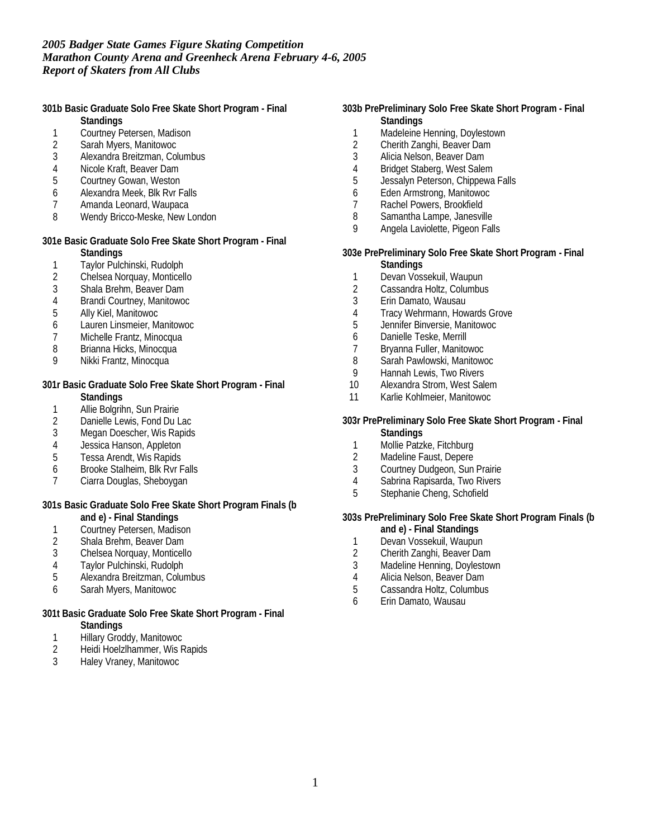**301b Basic Graduate Solo Free Skate Short Program - Final Standings**

- 1 Courtney Petersen, Madison
- 
- 2 Sarah Myers, Manitowoc 3 Alexandra Breitzman, Columbus
- 
- 4 Nicole Kraft, Beaver Dam<br>5 Courtney Gowan, Weston 5 Courtney Gowan, Weston
- 6 Alexandra Meek, Blk Rvr Falls
- 7 Amanda Leonard, Waupaca
- 8 Wendy Bricco-Meske, New London

**301e Basic Graduate Solo Free Skate Short Program - Final Standings**

- 1 Taylor Pulchinski, Rudolph
- 2 Chelsea Norquay, Monticello
- 3 Shala Brehm, Beaver Dam
- 4 Brandi Courtney, Manitowoc
- 5 Ally Kiel, Manitowoc
- 6 Lauren Linsmeier, Manitowoc
- 7 Michelle Frantz, Minocqua
- 8 Brianna Hicks, Minocqua
- 9 Nikki Frantz, Minocqua

**301r Basic Graduate Solo Free Skate Short Program - Final Standings**

- 
- 1 Allie Bolgrihn, Sun Prairie<br>2 Danielle Lewis, Fond Du L Danielle Lewis, Fond Du Lac
- 3 Megan Doescher, Wis Rapids
- 4 Jessica Hanson, Appleton
- 5 Tessa Arendt, Wis Rapids
- 6 Brooke Stalheim, Blk Rvr Falls
- 7 Ciarra Douglas, Sheboygan

**301s Basic Graduate Solo Free Skate Short Program Finals (b**

- **and e) Final Standings**
- 1 Courtney Petersen, Madison<br>2 Shala Brehm, Beaver Dam
- 2 Shala Brehm, Beaver Dam<br>3 Chelsea Norquay, Monticell
- 3 Chelsea Norquay, Monticello
- 4 Taylor Pulchinski, Rudolph
- 5 Alexandra Breitzman, Columbus
- 6 Sarah Myers, Manitowoc
- **301t Basic Graduate Solo Free Skate Short Program Final Standings**
	- 1 Hillary Groddy, Manitowoc
	- 2 Heidi Hoelzlhammer, Wis Rapids
	- 3 Haley Vraney, Manitowoc
- **303b PrePreliminary Solo Free Skate Short Program Final Standings**
	- 1 Madeleine Henning, Doylestown
	- 2 Cherith Zanghi, Beaver Dam<br>3 Alicia Nelson, Beaver Dam
	- Alicia Nelson, Beaver Dam
	- 4 Bridget Staberg, West Salem<br>5 Jessalvn Peterson, Chippewa
	- Jessalyn Peterson, Chippewa Falls
	- 6 Eden Armstrong, Manitowoc
	- 7 Rachel Powers, Brookfield
	- 8 Samantha Lampe, Janesville<br>9 Angela Laviolette Pigeon Fall
	- Angela Laviolette, Pigeon Falls
- **303e PrePreliminary Solo Free Skate Short Program Final Standings**
	- 1 Devan Vossekuil, Waupun
	- 2 Cassandra Holtz, Columbus
	- 3 Erin Damato, Wausau
	- 4 Tracy Wehrmann, Howards Grove
	- 5 Jennifer Binversie, Manitowoc
	- 6 Danielle Teske, Merrill
	- 7 Bryanna Fuller, Manitowoc
	- 8 Sarah Pawlowski, Manitowoc<br>9 Hannah Lewis, Two Rivers
	- 9 Hannah Lewis, Two Rivers<br>10 Alexandra Strom, West Sale
	- Alexandra Strom, West Salem
	- 11 Karlie Kohlmeier, Manitowoc
- **303r PrePreliminary Solo Free Skate Short Program Final Standings**
	- 1 Mollie Patzke, Fitchburg
	- 2 Madeline Faust, Depere
	- 3 Courtney Dudgeon, Sun Prairie
	- 4 Sabrina Rapisarda, Two Rivers
	- 5 Stephanie Cheng, Schofield

**303s PrePreliminary Solo Free Skate Short Program Finals (b**

- **and e) Final Standings**
- 1 Devan Vossekuil, Waupun<br>2 Cherith Zanghi, Beaver Dan
- 2 Cherith Zanghi, Beaver Dam
- 3 Madeline Henning, Doylestown
- 4 Alicia Nelson, Beaver Dam<br>5 Cassandra Holtz, Columbus
- 5 Cassandra Holtz, Columbus
- 6 Erin Damato, Wausau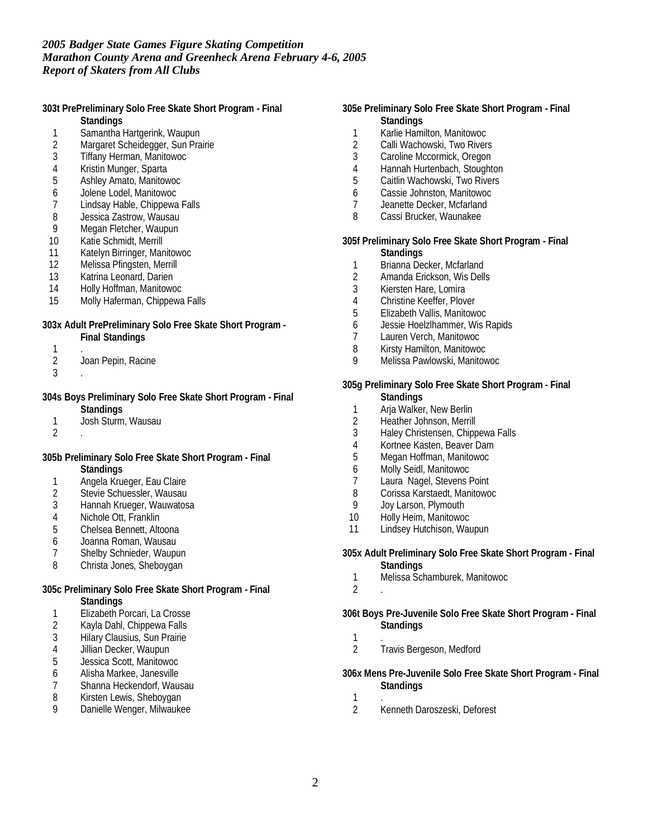**303t PrePreliminary Solo Free Skate Short Program - Final Standings**

- 1 Samantha Hartgerink, Waupun
- 
- 2 Margaret Scheidegger, Sun Prairie<br>3 Tiffany Herman, Manitowoc 3 Tiffany Herman, Manitowoc
- 
- 4 Kristin Munger, Sparta<br>5 Ashley Amato, Manitow 5 Ashley Amato, Manitowoc
- 
- 6 Jolene Lodel, Manitowoc Lindsay Hable, Chippewa Falls
- 
- 8 Jessica Zastrow, Wausau<br>9 Megan Fletcher, Waupun Megan Fletcher, Waupun
- 10 Katie Schmidt, Merrill
- 11 Katelyn Birringer, Manitowoc
- 12 Melissa Pfingsten, Merrill
- 13 Katrina Leonard, Darien
- 14 Holly Hoffman, Manitowoc
- 15 Molly Haferman, Chippewa Falls

**303x Adult PrePreliminary Solo Free Skate Short Program -**

**Final Standings**

- $\frac{1}{2}$ Joan Pepin, Racine
- 3 .

**304s Boys Preliminary Solo Free Skate Short Program - Final**

- **Standings**
- 1 Josh Sturm, Wausau
- 2 .

**305b Preliminary Solo Free Skate Short Program - Final Standings**

- 1 Angela Krueger, Eau Claire
- 2 Stevie Schuessler, Wausau
- 3 Hannah Krueger, Wauwatosa
- 4 Nichole Ott, Franklin
- 5 Chelsea Bennett, Altoona
- 6 Joanna Roman, Wausau
- 7 Shelby Schnieder, Waupun<br>8 Christa Jones, Shebovgan
- Christa Jones, Sheboygan

**305c Preliminary Solo Free Skate Short Program - Final**

- **Standings**
- 1 Elizabeth Porcari, La Crosse
- 2 Kayla Dahl, Chippewa Falls
- 3 Hilary Clausius, Sun Prairie
- 4 Jillian Decker, Waupun
- 5 Jessica Scott, Manitowoc
- 6 Alisha Markee, Janesville
- 7 Shanna Heckendorf, Wausau
- 8 Kirsten Lewis, Sheboygan
- 9 Danielle Wenger, Milwaukee
- **305e Preliminary Solo Free Skate Short Program Final Standings**
	- 1 Karlie Hamilton, Manitowoc
	- 2 Calli Wachowski, Two Rivers<br>3 Caroline Mccormick. Oregon
	- Caroline Mccormick, Oregon
	- 4 Hannah Hurtenbach, Stoughton<br>5 Caitlin Wachowski. Two Rivers
	- Caitlin Wachowski, Two Rivers
	- 6 Cassie Johnston, Manitowoc
	- 7 Jeanette Decker, Mcfarland<br>8 Cassi Brucker Waunakee
	- Cassi Brucker, Waunakee

**305f Preliminary Solo Free Skate Short Program - Final**

- **Standings**
- 1 Brianna Decker, Mcfarland
- 2 Amanda Erickson, Wis Dells
- 3 Kiersten Hare, Lomira
- 4 Christine Keeffer, Plover
- 5 Elizabeth Vallis, Manitowoc
- 6 Jessie Hoelzlhammer, Wis Rapids
- 7 Lauren Verch, Manitowoc<br>8 Kirsty Hamilton, Manitowoo
- Kirsty Hamilton, Manitowoc
- 9 Melissa Pawlowski, Manitowoc

#### **305g Preliminary Solo Free Skate Short Program - Final Standings**

- 
- 1 Arja Walker, New Berlin<br>2 Heather Johnson, Merrill Heather Johnson, Merrill
- 3 Haley Christensen, Chippewa Falls
- 4 Kortnee Kasten, Beaver Dam
- 5 Megan Hoffman, Manitowoc
- 6 Molly Seidl, Manitowoc
- 7 Laura Nagel, Stevens Point
- 8 Corissa Karstaedt, Manitowoc
- 9 Joy Larson, Plymouth
- 10 Holly Heim, Manitowoc
- 11 Lindsey Hutchison, Waupun

**305x Adult Preliminary Solo Free Skate Short Program - Final Standings**

- 1 Melissa Schamburek, Manitowoc
- 2 .
- **306t Boys Pre-Juvenile Solo Free Skate Short Program Final Standings**
- 1 .
- 2 Travis Bergeson, Medford
- **306x Mens Pre-Juvenile Solo Free Skate Short Program Final Standings**
	- $\frac{1}{2}$ 
		- 2 Kenneth Daroszeski, Deforest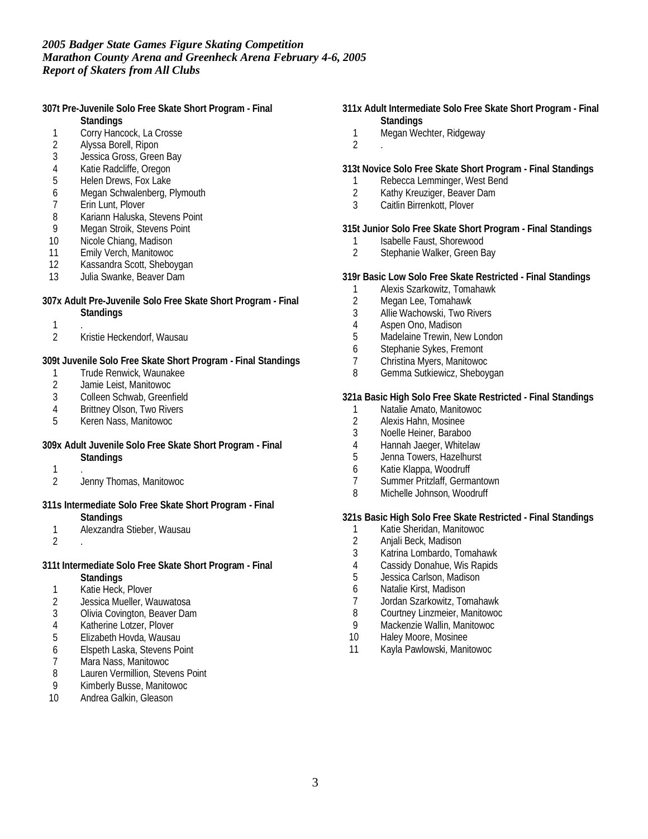**307t Pre-Juvenile Solo Free Skate Short Program - Final**

- **Standings**
- 1 Corry Hancock, La Crosse
- 2 Alyssa Borell, Ripon
- Jessica Gross, Green Bay
- 4 Katie Radcliffe, Oregon<br>5 Helen Drews, Fox Lake
- Helen Drews, Fox Lake
- 6 Megan Schwalenberg, Plymouth<br>7 Erin Lunt, Plover
- Erin Lunt, Plover
- 8 Kariann Haluska, Stevens Point<br>9 Megan Stroik, Stevens Point
- Megan Stroik, Stevens Point
- 10 Nicole Chiang, Madison
- 11 Emily Verch, Manitowoc
- 12 Kassandra Scott, Sheboygan
- 13 Julia Swanke, Beaver Dam
- **307x Adult Pre-Juvenile Solo Free Skate Short Program Final Standings**
	- 1 .
	- 2 Kristie Heckendorf, Wausau

**309t Juvenile Solo Free Skate Short Program - Final Standings**

- 1 Trude Renwick, Waunakee<br>2 Jamie Leist, Manitowoc
- 2 Jamie Leist, Manitowoc<br>3 Colleen Schwab, Greent
- Colleen Schwab, Greenfield
- 4 Brittney Olson, Two Rivers
- 5 Keren Nass, Manitowoc
- **309x Adult Juvenile Solo Free Skate Short Program Final Standings**
	- 1 .
	- 2 Jenny Thomas, Manitowoc
- **311s Intermediate Solo Free Skate Short Program Final Standings**
	- 1 Alexzandra Stieber, Wausau
	- 2 .
- **311t Intermediate Solo Free Skate Short Program Final Standings**
	- 1 Katie Heck, Plover
	- 2 Jessica Mueller, Wauwatosa
	- 3 Olivia Covington, Beaver Dam
	- 4 Katherine Lotzer, Plover
	- 5 Elizabeth Hovda, Wausau
	- 6 Elspeth Laska, Stevens Point
	- 7 Mara Nass, Manitowoc
	- 8 Lauren Vermillion, Stevens Point
	- 9 Kimberly Busse, Manitowoc
	- 10 Andrea Galkin, Gleason
- **311x Adult Intermediate Solo Free Skate Short Program Final Standings**
	- 1 Megan Wechter, Ridgeway
- 2 .
- **313t Novice Solo Free Skate Short Program Final Standings**
	- 1 Rebecca Lemminger, West Bend<br>2 Kathy Kreuziger, Beaver Dam
	- Kathy Kreuziger, Beaver Dam
	- 3 Caitlin Birrenkott, Plover
- **315t Junior Solo Free Skate Short Program Final Standings**
	- 1 Isabelle Faust, Shorewood<br>2 Stephanie Walker, Green B Stephanie Walker, Green Bay
- **319r Basic Low Solo Free Skate Restricted Final Standings**
	- 1 Alexis Szarkowitz, Tomahawk
	- Megan Lee, Tomahawk
	- 3 Allie Wachowski, Two Rivers
	- 4 Aspen Ono, Madison
	- 5 Madelaine Trewin, New London
	- 6 Stephanie Sykes, Fremont
	- 7 Christina Myers, Manitowoc<br>8 Gemma Sutkiewicz, Shebov
	- Gemma Sutkiewicz, Sheboygan

**321a Basic High Solo Free Skate Restricted - Final Standings**

- 1 Natalie Amato, Manitowoc<br>2 Alexis Hahn, Mosinee
- 2 Alexis Hahn, Mosinee
- 3 Noelle Heiner, Baraboo
- 4 Hannah Jaeger, Whitelaw
- 5 Jenna Towers, Hazelhurst
- 6 Katie Klappa, Woodruff
- 7 Summer Pritzlaff, Germantown
- 8 Michelle Johnson, Woodruff

**321s Basic High Solo Free Skate Restricted - Final Standings**

- 1 Katie Sheridan, Manitowoc<br>2 Anjali Beck, Madison
- 2 Anjali Beck, Madison<br>3 Katrina Lombardo. To
- 3 Katrina Lombardo, Tomahawk
- 4 Cassidy Donahue, Wis Rapids<br>5 Jessica Carlson, Madison
- Jessica Carlson, Madison
- 6 Natalie Kirst, Madison
- 7 Jordan Szarkowitz, Tomahawk
- 8 Courtney Linzmeier, Manitowoc
- 9 Mackenzie Wallin, Manitowoc
- 10 Haley Moore, Mosinee
- 11 Kayla Pawlowski, Manitowoc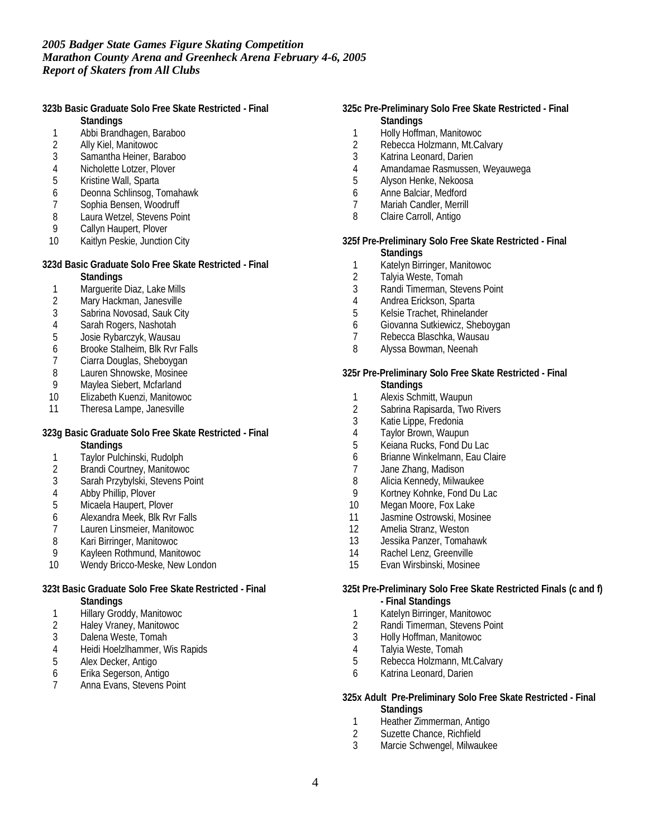**323b Basic Graduate Solo Free Skate Restricted - Final**

- **Standings**
- 1 Abbi Brandhagen, Baraboo
- 2 Ally Kiel, Manitowoc
- Samantha Heiner, Baraboo
- 4 Nicholette Lotzer, Plover<br>5 Kristine Wall, Sparta
- 5 Kristine Wall, Sparta
- 6 Deonna Schlinsog, Tomahawk
- 7 Sophia Bensen, Woodruff<br>8 Laura Wetzel, Stevens Poi
- 8 Laura Wetzel, Stevens Point<br>9 Callyn Haupert, Plover
- Callyn Haupert, Plover
- 10 Kaitlyn Peskie, Junction City

# **323d Basic Graduate Solo Free Skate Restricted - Final**

- **Standings**
- 1 Marguerite Diaz, Lake Mills
- 2 Mary Hackman, Janesville
- 3 Sabrina Novosad, Sauk City
- 4 Sarah Rogers, Nashotah
- 5 Josie Rybarczyk, Wausau
- 6 Brooke Stalheim, Blk Rvr Falls<br>7 Ciarra Douglas, Sheboygan
- 7 Ciarra Douglas, Sheboygan<br>8 Lauren Shnowske, Mosinee
- 8 Lauren Shnowske, Mosinee<br>9 Maylea Siebert, Mcfarland
- Maylea Siebert, Mcfarland
- 10 Elizabeth Kuenzi, Manitowoc
- 11 Theresa Lampe, Janesville

## **323g Basic Graduate Solo Free Skate Restricted - Final**

- **Standings**
- 1 Taylor Pulchinski, Rudolph<br>2 Brandi Courtney, Manitowoo
- 2 Brandi Courtney, Manitowoc
- 3 Sarah Przybylski, Stevens Point
- 4 Abby Phillip, Plover
- 5 Micaela Haupert, Plover
- 6 Alexandra Meek, Blk Rvr Falls
- 7 Lauren Linsmeier, Manitowoc<br>8 Kari Birringer, Manitowoc
- 8 Kari Birringer, Manitowoc<br>9 Kavleen Rothmund, Manite
- 9 Kayleen Rothmund, Manitowoc
- 10 Wendy Bricco-Meske, New London

# **323t Basic Graduate Solo Free Skate Restricted - Final**

- **Standings**
- 1 Hillary Groddy, Manitowoc
- 2 Haley Vraney, Manitowoc
- 3 Dalena Weste, Tomah
- 4 Heidi Hoelzlhammer, Wis Rapids
- 5 Alex Decker, Antigo 6 Erika Segerson, Antigo
- 7 Anna Evans, Stevens Point
- **325c Pre-Preliminary Solo Free Skate Restricted Final Standings**
	- 1 Holly Hoffman, Manitowoc
	- 2 Rebecca Holzmann, Mt.Calvary<br>3 Katrina Leonard, Darien
	- Katrina Leonard, Darien
	- 4 Amandamae Rasmussen, Weyauwega<br>5 Alvson Henke, Nekoosa
	- 5 Alyson Henke, Nekoosa
	- 6 Anne Balciar, Medford
	- 7 Mariah Candler, Merrill<br>8 Claire Carroll Antigo
	- Claire Carroll, Antigo

#### **325f Pre-Preliminary Solo Free Skate Restricted - Final Standings**

- 1 Katelyn Birringer, Manitowoc
- 2 Talyia Weste, Tomah
- 3 Randi Timerman, Stevens Point
- 4 Andrea Erickson, Sparta
- 5 Kelsie Trachet, Rhinelander
- 6 Giovanna Sutkiewicz, Sheboygan
- 7 Rebecca Blaschka, Wausau<br>8 Alyssa Bowman, Neenah
- Alyssa Bowman, Neenah
- **325r Pre-Preliminary Solo Free Skate Restricted Final Standings**
	- 1 Alexis Schmitt, Waupun
	- 2 Sabrina Rapisarda, Two Rivers
	- 3 Katie Lippe, Fredonia
	- 4 Taylor Brown, Waupun
	- 5 Keiana Rucks, Fond Du Lac
	- 6 Brianne Winkelmann, Eau Claire<br>7 Jane Zhang, Madison
	- Jane Zhang, Madison
	- 8 Alicia Kennedy, Milwaukee
	- 9 Kortney Kohnke, Fond Du Lac
- 10 Megan Moore, Fox Lake
- 11 Jasmine Ostrowski, Mosinee
- 12 Amelia Stranz, Weston<br>13 Jessika Panzer, Tomah
- Jessika Panzer, Tomahawk
- 14 Rachel Lenz, Greenville
- 15 Evan Wirsbinski, Mosinee

**325t Pre-Preliminary Solo Free Skate Restricted Finals (c and f) - Final Standings**

- 1 Katelyn Birringer, Manitowoc<br>2 Randi Timerman, Stevens Po
- 2 Randi Timerman, Stevens Point<br>3 Holly Hoffman, Manitowoc
- 3 Holly Hoffman, Manitowoc
- 4 Talyia Weste, Tomah
- 5 Rebecca Holzmann, Mt.Calvary
- 6 Katrina Leonard, Darien
- **325x Adult Pre-Preliminary Solo Free Skate Restricted Final Standings**
	- 1 Heather Zimmerman, Antigo<br>2 Suzette Chance, Richfield
	- 2 Suzette Chance, Richfield<br>3 Marcie Schwengel, Milwau
	- Marcie Schwengel, Milwaukee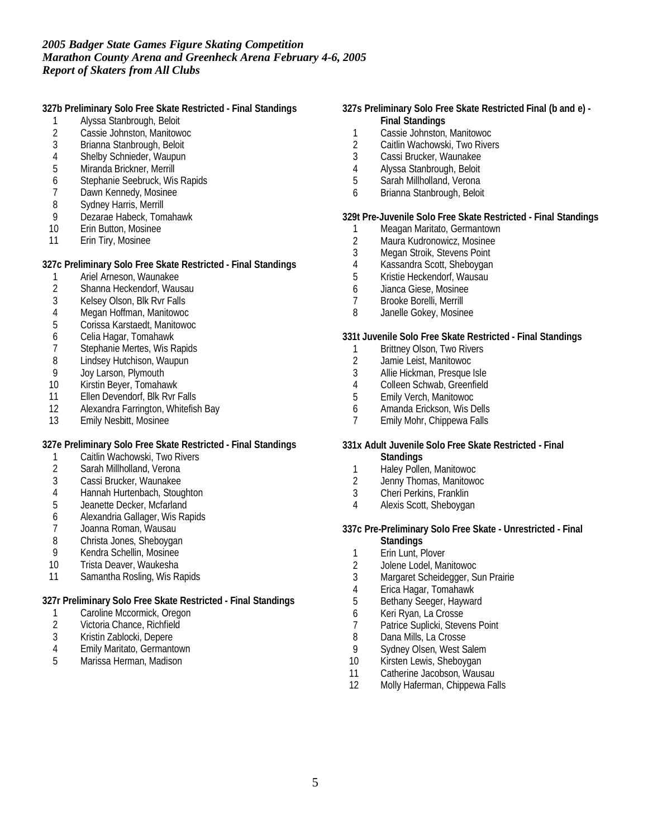**327b Preliminary Solo Free Skate Restricted - Final Standings**

- 1 Alyssa Stanbrough, Beloit
- 2 Cassie Johnston, Manitowoc
- 3 Brianna Stanbrough, Beloit
- 4 Shelby Schnieder, Waupun<br>5 Miranda Brickner, Merrill
- Miranda Brickner, Merrill
- 6 Stephanie Seebruck, Wis Rapids<br>7 Dawn Kennedy, Mosinee
- 7 Dawn Kennedy, Mosinee<br>8 Sydney Harris, Merrill
- 8 Sydney Harris, Merrill<br>9 Dezarae Habeck, Tom
- Dezarae Habeck, Tomahawk
- 10 Erin Button, Mosinee
- 11 Erin Tiry, Mosinee

**327c Preliminary Solo Free Skate Restricted - Final Standings**

- 1 Ariel Arneson, Waunakee
- 2 Shanna Heckendorf, Wausau
- 3 Kelsey Olson, Blk Rvr Falls
- 4 Megan Hoffman, Manitowoc
- 5 Corissa Karstaedt, Manitowoc
- 6 Celia Hagar, Tomahawk
- 7 Stephanie Mertes, Wis Rapids
- 8 Lindsey Hutchison, Waupun<br>9 Joy Larson, Plymouth
- 
- 9 Joy Larson, Plymouth<br>10 Kirstin Beyer, Tomaha Kirstin Beyer, Tomahawk
- 11 Ellen Devendorf, Blk Rvr Falls
- 12 Alexandra Farrington, Whitefish Bay
- 13 Emily Nesbitt, Mosinee

**327e Preliminary Solo Free Skate Restricted - Final Standings**

- 1 Caitlin Wachowski, Two Rivers
- 2 Sarah Millholland, Verona
- 3 Cassi Brucker, Waunakee
- 4 Hannah Hurtenbach, Stoughton
- 5 Jeanette Decker, Mcfarland
- 6 Alexandria Gallager, Wis Rapids
- 7 Joanna Roman, Wausau
- 8 Christa Jones, Sheboygan
- 9 Kendra Schellin, Mosinee
- 10 Trista Deaver, Waukesha
- 11 Samantha Rosling, Wis Rapids

**327r Preliminary Solo Free Skate Restricted - Final Standings**

- 1 Caroline Mccormick, Oregon
- 2 Victoria Chance, Richfield
- 3 Kristin Zablocki, Depere
- 4 Emily Maritato, Germantown
- 5 Marissa Herman, Madison
- **327s Preliminary Solo Free Skate Restricted Final (b and e) - Final Standings**
	- 1 Cassie Johnston, Manitowoc
	- 2 Caitlin Wachowski, Two Rivers
	- 3 Cassi Brucker, Waunakee
	- 4 Alyssa Stanbrough, Beloit<br>5 Sarah Millholland, Verona
	- 5 Sarah Millholland, Verona
	- 6 Brianna Stanbrough, Beloit

**329t Pre-Juvenile Solo Free Skate Restricted - Final Standings**

- 1 Meagan Maritato, Germantown
- 2 Maura Kudronowicz, Mosinee
- 3 Megan Stroik, Stevens Point
- 4 Kassandra Scott, Sheboygan
- 5 Kristie Heckendorf, Wausau
- 6 Jianca Giese, Mosinee
- 7 Brooke Borelli, Merrill
- 8 Janelle Gokey, Mosinee
- **331t Juvenile Solo Free Skate Restricted Final Standings**
	- 1 Brittney Olson, Two Rivers<br>2 Jamie Leist, Manitowoc
	- 2 Jamie Leist, Manitowoc
	- 3 Allie Hickman, Presque Isle
	- 4 Colleen Schwab, Greenfield<br>5 Emily Verch, Manitowoc
	- 5 Emily Verch, Manitowoc
	- 6 Amanda Erickson, Wis Dells
	- 7 Emily Mohr, Chippewa Falls
- **331x Adult Juvenile Solo Free Skate Restricted Final Standings**
	- 1 Haley Pollen, Manitowoc<br>2 Jenny Thomas, Manitowo
	- 2 Jenny Thomas, Manitowoc
	- 3 Cheri Perkins, Franklin
	- 4 Alexis Scott, Sheboygan
- **337c Pre-Preliminary Solo Free Skate Unrestricted Final Standings**
	- 1 Erin Lunt, Plover
	- 2 Jolene Lodel, Manitowoc
	- 3 Margaret Scheidegger, Sun Prairie
	- 4 Erica Hagar, Tomahawk
	- 5 Bethany Seeger, Hayward
	- 6 Keri Ryan, La Crosse
	- 7 Patrice Suplicki, Stevens Point<br>8 Dana Mills, La Crosse
	- Dana Mills, La Crosse
- 9 Sydney Olsen, West Salem
- 10 Kirsten Lewis, Sheboygan
- 11 Catherine Jacobson, Wausau
- 12 Molly Haferman, Chippewa Falls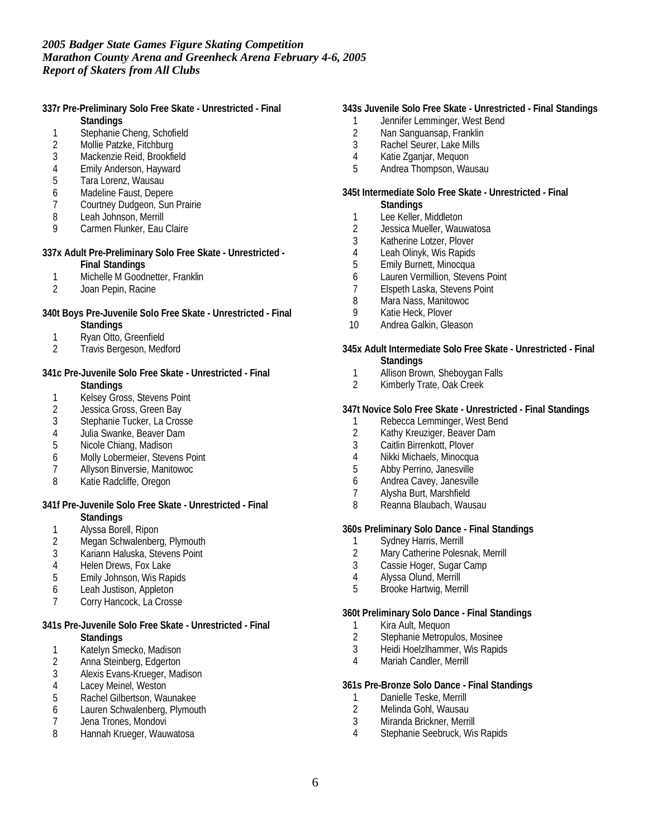**337r Pre-Preliminary Solo Free Skate - Unrestricted - Final Standings**

- 1 Stephanie Cheng, Schofield
- 
- 2 Mollie Patzke, Fitchburg<br>3 Mackenzie Reid, Brookfie Mackenzie Reid, Brookfield
- 4 Emily Anderson, Hayward<br>5 Tara Lorenz, Wausau
- 5 Tara Lorenz, Wausau
- 
- 6 Madeline Faust, Depere<br>7 Courtney Dudgeon, Sun Courtney Dudgeon, Sun Prairie
- 8 Leah Johnson, Merrill<br>9 Carmen Flunker, Eau
- Carmen Flunker, Eau Claire
- **337x Adult Pre-Preliminary Solo Free Skate Unrestricted - Final Standings**
	- 1 Michelle M Goodnetter, Franklin
	- 2 Joan Pepin, Racine
- **340t Boys Pre-Juvenile Solo Free Skate Unrestricted Final Standings**
	-
	- 1 Ryan Otto, Greenfield<br>2 Travis Bergeson, Medf Travis Bergeson, Medford
- **341c Pre-Juvenile Solo Free Skate Unrestricted Final Standings**
	- 1 Kelsey Gross, Stevens Point<br>2 Jessica Gross, Green Bav
	- Jessica Gross, Green Bay
	- 3 Stephanie Tucker, La Crosse
	- 4 Julia Swanke, Beaver Dam
	- 5 Nicole Chiang, Madison
	- 6 Molly Lobermeier, Stevens Point
	- 7 Allyson Binversie, Manitowoc
	- 8 Katie Radcliffe, Oregon
- **341f Pre-Juvenile Solo Free Skate Unrestricted Final Standings**
	-
	- 1 Alyssa Borell, Ripon<br>2 Megan Schwalenber
	- 2 Megan Schwalenberg, Plymouth<br>3 Kariann Haluska, Stevens Point Kariann Haluska, Stevens Point
	-
	- 4 Helen Drews, Fox Lake<br>5 Emily Johnson, Wis Rap 5 Emily Johnson, Wis Rapids
	- 6 Leah Justison, Appleton
	- 7 Corry Hancock, La Crosse
- **341s Pre-Juvenile Solo Free Skate Unrestricted Final Standings**
	- 1 Katelyn Smecko, Madison
	- 2 Anna Steinberg, Edgerton
	- 3 Alexis Evans-Krueger, Madison
	- 4 Lacey Meinel, Weston
	- 5 Rachel Gilbertson, Waunakee
	- 6 Lauren Schwalenberg, Plymouth
	- 7 Jena Trones, Mondovi<br>8 Hannah Krueger. Wauy
	- 8 Hannah Krueger, Wauwatosa

## **343s Juvenile Solo Free Skate - Unrestricted - Final Standings**

- 1 Jennifer Lemminger, West Bend
- 2 Nan Sanguansap, Franklin
- 3 Rachel Seurer, Lake Mills
- 4 Katie Zganjar, Mequon<br>5 Andrea Thompson, War
- 5 Andrea Thompson, Wausau
- **345t Intermediate Solo Free Skate Unrestricted Final Standings**
	- 1 Lee Keller, Middleton<br>2 Jessica Mueller, Wauv
	- Jessica Mueller, Wauwatosa
	- 3 Katherine Lotzer, Plover
	- 4 Leah Olinyk, Wis Rapids
	- 5 Emily Burnett, Minocqua
	- 6 Lauren Vermillion, Stevens Point
	- 7 Elspeth Laska, Stevens Point
	-
	- 8 Mara Nass, Manitowoc<br>9 Katie Heck, Plover Katie Heck, Plover
	- 10 Andrea Galkin, Gleason
- **345x Adult Intermediate Solo Free Skate Unrestricted Final Standings**
	- 1 Allison Brown, Sheboygan Falls<br>2 Kimberly Trate, Oak Creek
	- Kimberly Trate, Oak Creek

#### **347t Novice Solo Free Skate - Unrestricted - Final Standings**

- 1 Rebecca Lemminger, West Bend<br>2 Kathy Kreuziger, Beaver Dam
- Kathy Kreuziger, Beaver Dam
- 3 Caitlin Birrenkott, Plover
- 4 Nikki Michaels, Minocqua
- 5 Abby Perrino, Janesville
- 6 Andrea Cavey, Janesville
- 7 Alysha Burt, Marshfield
- 8 Reanna Blaubach, Wausau

**360s Preliminary Solo Dance - Final Standings**

- 1 Sydney Harris, Merrill<br>2 Mary Catherine Polesi
- 2 Mary Catherine Polesnak, Merrill<br>3 Cassie Hoger, Sugar Camp
- Cassie Hoger, Sugar Camp
- 4 Alyssa Olund, Merrill
- 5 Brooke Hartwig, Merrill

**360t Preliminary Solo Dance - Final Standings**

- 1 Kira Ault, Mequon<br>2 Stephanie Metropu
- Stephanie Metropulos, Mosinee
- 3 Heidi Hoelzlhammer, Wis Rapids
- 4 Mariah Candler, Merrill
- **361s Pre-Bronze Solo Dance Final Standings**
	- 1 Danielle Teske, Merrill
	- 2 Melinda Gohl, Wausau
	- 3 Miranda Brickner, Merrill
	- Stephanie Seebruck, Wis Rapids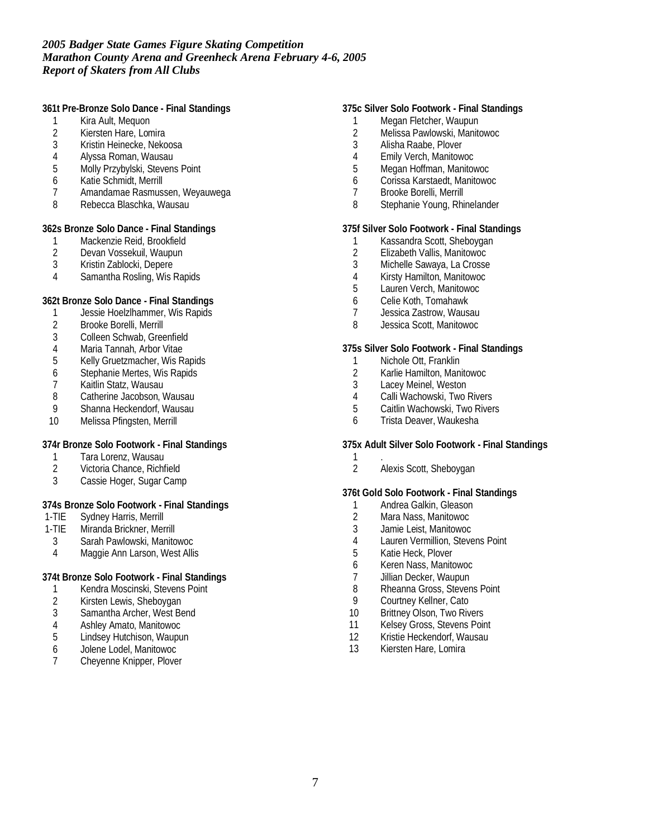**361t Pre-Bronze Solo Dance - Final Standings**

- 1 Kira Ault, Mequon
- 2 Kiersten Hare, Lomira
- 3 Kristin Heinecke, Nekoosa
- 4 Alyssa Roman, Wausau<br>5 Molly Przybylski, Stevens
- Molly Przybylski, Stevens Point
- 6 Katie Schmidt, Merrill
- 7 Amandamae Rasmussen, Weyauwega
- 8 Rebecca Blaschka, Wausau

**362s Bronze Solo Dance - Final Standings**

- 1 Mackenzie Reid, Brookfield<br>2 Devan Vossekuil, Waupun
- 2 Devan Vossekuil, Waupun<br>3 Kristin Zablocki, Depere
- 3 Kristin Zablocki, Depere
- 4 Samantha Rosling, Wis Rapids

**362t Bronze Solo Dance - Final Standings**

- 1 Jessie Hoelzlhammer, Wis Rapids
- 2 Brooke Borelli, Merrill
- 3 Colleen Schwab, Greenfield
- 4 Maria Tannah, Arbor Vitae<br>5 Kelly Gruetzmacher, Wis R
- 5 Kelly Gruetzmacher, Wis Rapids
- 6 Stephanie Mertes, Wis Rapids
- 7 Kaitlin Statz, Wausau<br>8 Catherine Jacobson, V
- Catherine Jacobson, Wausau
- 9 Shanna Heckendorf, Wausau
- 10 Melissa Pfingsten, Merrill

#### **374r Bronze Solo Footwork - Final Standings**

- 1 Tara Lorenz, Wausau<br>2 Victoria Chance, Richf
- 2 Victoria Chance, Richfield
- 3 Cassie Hoger, Sugar Camp

#### **374s Bronze Solo Footwork - Final Standings**

- 1-TIE Sydney Harris, Merrill
- 1-TIE Miranda Brickner, Merrill
- 3 Sarah Pawlowski, Manitowoc
- 4 Maggie Ann Larson, West Allis

#### **374t Bronze Solo Footwork - Final Standings**

- 1 Kendra Moscinski, Stevens Point
- 2 Kirsten Lewis, Sheboygan
- 3 Samantha Archer, West Bend
- 4 Ashley Amato, Manitowoc<br>5 Lindsey Hutchison, Waupu
- Lindsey Hutchison, Waupun
- 6 Jolene Lodel, Manitowoc
- 7 Cheyenne Knipper, Plover

## **375c Silver Solo Footwork - Final Standings**

- 1 Megan Fletcher, Waupun
- 2 Melissa Pawlowski, Manitowoc
- 3 Alisha Raabe, Plover
- 4 Emily Verch, Manitowoc<br>5 Megan Hoffman, Manitov
- 5 Megan Hoffman, Manitowoc
- 6 Corissa Karstaedt, Manitowoc
- Brooke Borelli, Merrill
- 8 Stephanie Young, Rhinelander

#### **375f Silver Solo Footwork - Final Standings**

- 1 Kassandra Scott, Sheboygan
- 2 Elizabeth Vallis, Manitowoc<br>3 Michelle Sawaya, La Crosse
- Michelle Sawaya, La Crosse
- 4 Kirsty Hamilton, Manitowoc
- 5 Lauren Verch, Manitowoc
- 6 Celie Koth, Tomahawk
- 7 Jessica Zastrow, Wausau
- 8 Jessica Scott, Manitowoc

#### **375s Silver Solo Footwork - Final Standings**

- 1 Nichole Ott, Franklin
- 2 Karlie Hamilton, Manitowoc<br>3 Lacev Meinel. Weston
- Lacey Meinel, Weston
- 4 Calli Wachowski, Two Rivers<br>5 Caitlin Wachowski. Two River
- 5 Caitlin Wachowski, Two Rivers
- 6 Trista Deaver, Waukesha

**375x Adult Silver Solo Footwork - Final Standings**

- 1 .
	- 2 Alexis Scott, Sheboygan

#### **376t Gold Solo Footwork - Final Standings**

- 1 Andrea Galkin, Gleason
- 2 Mara Nass, Manitowoc
- 3 Jamie Leist, Manitowoc
- 4 Lauren Vermillion, Stevens Point<br>5 Katie Heck, Plover
- Katie Heck, Plover
- 6 Keren Nass, Manitowoc
- 7 Jillian Decker, Waupun
- 8 Rheanna Gross, Stevens Point<br>9 Courtney Kellner, Cato
- Courtney Kellner, Cato
- 10 Brittney Olson, Two Rivers
- 11 Kelsey Gross, Stevens Point<br>12 Kristie Heckendorf, Wausau
- Kristie Heckendorf, Wausau
- 13 Kiersten Hare, Lomira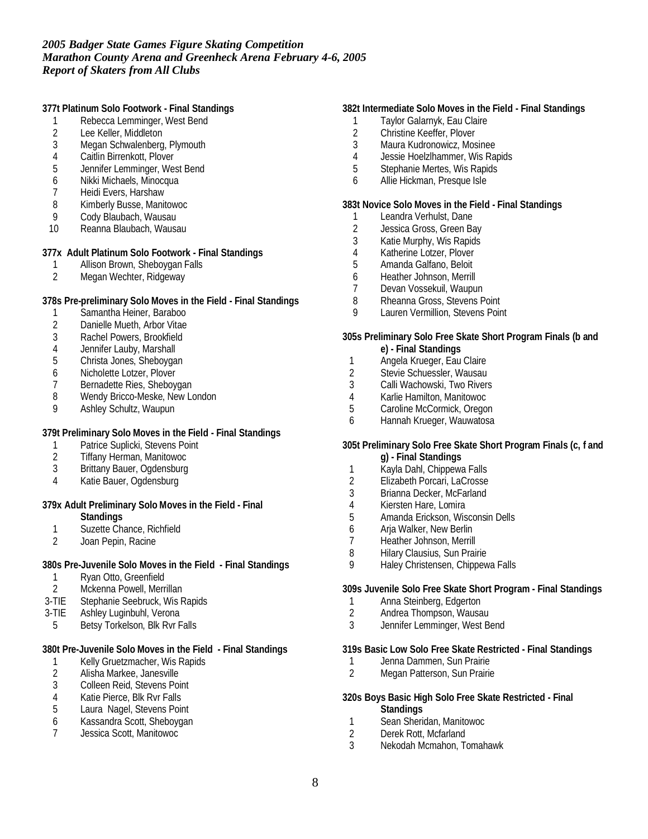**377t Platinum Solo Footwork - Final Standings**

- 1 Rebecca Lemminger, West Bend
- 2 Lee Keller, Middleton
- 3 Megan Schwalenberg, Plymouth
- 4 Caitlin Birrenkott, Plover<br>5 Jennifer Lemminger, Wes
- 5 Jennifer Lemminger, West Bend
- 6 Nikki Michaels, Minocqua
- 7 Heidi Evers, Harshaw<br>8 Kimberly Busse, Manit
- 8 Kimberly Busse, Manitowoc<br>9 Cody Blaubach, Wausau
- 9 Cody Blaubach, Wausau<br>10 Reanna Blaubach, Wausa
- Reanna Blaubach, Wausau

#### **377x Adult Platinum Solo Footwork - Final Standings**

- 1 Allison Brown, Sheboygan Falls<br>2 Megan Wechter, Ridgeway
- Megan Wechter, Ridgeway

#### **378s Pre-preliminary Solo Moves in the Field - Final Standings**

- 1 Samantha Heiner, Baraboo
- 2 Danielle Mueth, Arbor Vitae
- 3 Rachel Powers, Brookfield
- 
- 4 Jennifer Lauby, Marshall<br>5 Christa Jones, Sheboyga 5 Christa Jones, Sheboygan
- 
- 6 Nicholette Lotzer, Plover<br>7 Bernadette Ries, Shebov Bernadette Ries, Sheboygan
- 8 Wendy Bricco-Meske, New London
- 9 Ashley Schultz, Waupun

**379t Preliminary Solo Moves in the Field - Final Standings**

- 1 Patrice Suplicki, Stevens Point<br>2 Tiffany Herman, Manitowoc
- 2 Tiffany Herman, Manitowoc
- 3 Brittany Bauer, Ogdensburg
- 4 Katie Bauer, Ogdensburg

## **379x Adult Preliminary Solo Moves in the Field - Final**

- **Standings**
- 1 Suzette Chance, Richfield<br>2 Joan Pepin, Racine
- Joan Pepin, Racine

**380s Pre-Juvenile Solo Moves in the Field - Final Standings**

- 1 Ryan Otto, Greenfield<br>2 Mckenna Powell, Merr
- Mckenna Powell, Merrillan
- 3-TIE Stephanie Seebruck, Wis Rapids
- 3-TIE Ashley Luginbuhl, Verona
- 5 Betsy Torkelson, Blk Rvr Falls

**380t Pre-Juvenile Solo Moves in the Field - Final Standings**

- 1 Kelly Gruetzmacher, Wis Rapids
- 2 Alisha Markee, Janesville
- 3 Colleen Reid, Stevens Point
- 4 Katie Pierce, Blk Rvr Falls
- 5 Laura Nagel, Stevens Point
- 6 Kassandra Scott, Sheboygan
- 7 Jessica Scott, Manitowoc

## **382t Intermediate Solo Moves in the Field - Final Standings**

- 1 Taylor Galarnyk, Eau Claire
- 2 Christine Keeffer, Plover
- 3 Maura Kudronowicz, Mosinee
- 4 Jessie Hoelzlhammer, Wis Rapids<br>5 Stephanie Mertes. Wis Rapids
- 5 Stephanie Mertes, Wis Rapids
- 6 Allie Hickman, Presque Isle

#### **383t Novice Solo Moves in the Field - Final Standings**

- 1 Leandra Verhulst, Dane<br>2 Jessica Gross, Green Ba
- Jessica Gross, Green Bay
- 3 Katie Murphy, Wis Rapids
- 4 Katherine Lotzer, Plover
- 5 Amanda Galfano, Beloit
- 6 Heather Johnson, Merrill
- 7 Devan Vossekuil, Waupun
- 8 Rheanna Gross, Stevens Point
- 9 Lauren Vermillion, Stevens Point
- **305s Preliminary Solo Free Skate Short Program Finals (b and e) - Final Standings**
- 1 Angela Krueger, Eau Claire
- 2 Stevie Schuessler, Wausau<br>3 Calli Wachowski. Two Rivers
- Calli Wachowski, Two Rivers
- 4 Karlie Hamilton, Manitowoc
- Caroline McCormick, Oregon
- 6 Hannah Krueger, Wauwatosa
- **305t Preliminary Solo Free Skate Short Program Finals (c, f and g) - Final Standings**
- 1 Kayla Dahl, Chippewa Falls
- 2 Elizabeth Porcari, LaCrosse
- 3 Brianna Decker, McFarland
- 4 Kiersten Hare, Lomira
- 5 Amanda Erickson, Wisconsin Dells
- 6 Arja Walker, New Berlin
- 7 Heather Johnson, Merrill<br>8 Hilary Clausius, Sun Prain
- Hilary Clausius, Sun Prairie
- 9 Haley Christensen, Chippewa Falls

**309s Juvenile Solo Free Skate Short Program - Final Standings**

- 1 Anna Steinberg, Edgerton<br>2 Andrea Thompson. Wausa
- 2 Andrea Thompson, Wausau
- 3 Jennifer Lemminger, West Bend

**319s Basic Low Solo Free Skate Restricted - Final Standings**

- 1 Jenna Dammen, Sun Prairie<br>2 Megan Patterson, Sun Prairie
- Megan Patterson, Sun Prairie

**320s Boys Basic High Solo Free Skate Restricted - Final Standings**

- 1 Sean Sheridan, Manitowoc<br>2 Derek Rott, Mcfarland
- 2 Derek Rott, Mcfarland<br>3 Nekodah Mcmahon Tu
- 3 Nekodah Mcmahon, Tomahawk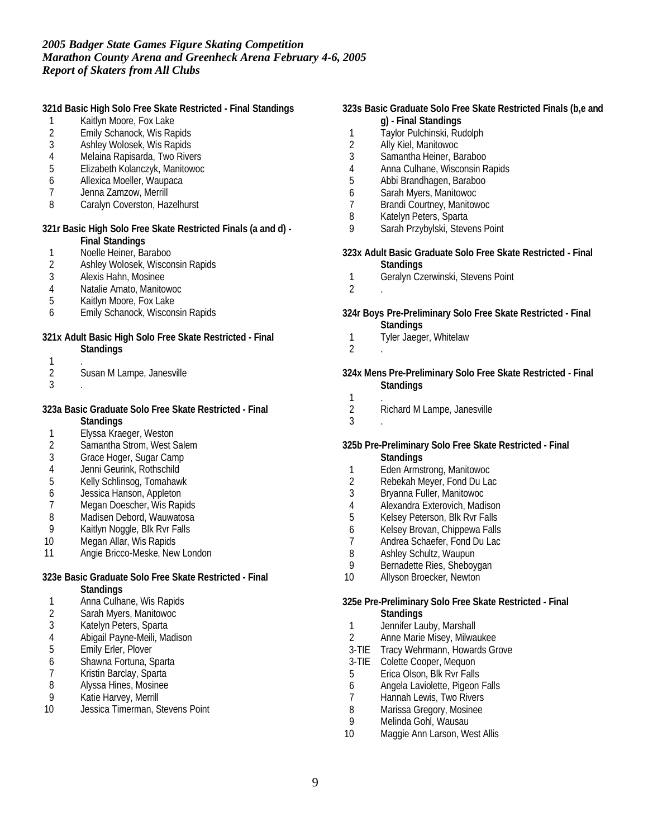|                                                        | 321d Basic High Solo Free Skate Restricted - Final Standings  |                                                              | 323s Basic Graduate Solo Free Skate Restricted Finals (b,e and |
|--------------------------------------------------------|---------------------------------------------------------------|--------------------------------------------------------------|----------------------------------------------------------------|
|                                                        | Kaitlyn Moore, Fox Lake                                       |                                                              | g) - Final Standings                                           |
| 2                                                      | Emily Schanock, Wis Rapids                                    | 1                                                            | Taylor Pulchinski, Rudolph                                     |
| 3                                                      | Ashley Wolosek, Wis Rapids                                    | $\overline{2}$                                               | Ally Kiel, Manitowoc                                           |
| 4                                                      | Melaina Rapisarda, Two Rivers                                 | 3                                                            | Samantha Heiner, Baraboo                                       |
| 5                                                      | Elizabeth Kolanczyk, Manitowoc                                | 4                                                            | Anna Culhane, Wisconsin Rapids                                 |
| 6                                                      | Allexica Moeller, Waupaca                                     | 5                                                            | Abbi Brandhagen, Baraboo                                       |
| 7                                                      | Jenna Zamzow, Merrill                                         | 6                                                            | Sarah Myers, Manitowoc                                         |
| 8                                                      | Caralyn Coverston, Hazelhurst                                 | 7                                                            | Brandi Courtney, Manitowoc                                     |
|                                                        |                                                               | 8                                                            | Katelyn Peters, Sparta                                         |
|                                                        | 321r Basic High Solo Free Skate Restricted Finals (a and d) - | 9                                                            | Sarah Przybylski, Stevens Point                                |
|                                                        | <b>Final Standings</b>                                        |                                                              |                                                                |
| 1                                                      | Noelle Heiner, Baraboo                                        |                                                              | 323x Adult Basic Graduate Solo Free Skate Restricted - Final   |
| 2                                                      | Ashley Wolosek, Wisconsin Rapids                              |                                                              | <b>Standings</b>                                               |
| 3                                                      | Alexis Hahn, Mosinee                                          | 1                                                            | Geralyn Czerwinski, Stevens Point                              |
| 4                                                      | Natalie Amato, Manitowoc                                      | $\overline{2}$                                               |                                                                |
| 5                                                      | Kaitlyn Moore, Fox Lake                                       |                                                              |                                                                |
| 6                                                      | Emily Schanock, Wisconsin Rapids                              | 324r Boys Pre-Preliminary Solo Free Skate Restricted - Final |                                                                |
|                                                        |                                                               |                                                              | <b>Standings</b>                                               |
|                                                        | 321x Adult Basic High Solo Free Skate Restricted - Final      | 1                                                            | Tyler Jaeger, Whitelaw                                         |
|                                                        | Standings                                                     | $\overline{2}$                                               |                                                                |
| 1                                                      |                                                               |                                                              |                                                                |
| 2                                                      | Susan M Lampe, Janesville                                     |                                                              | 324x Mens Pre-Preliminary Solo Free Skate Restricted - Final   |
| 3                                                      |                                                               |                                                              |                                                                |
|                                                        |                                                               |                                                              | <b>Standings</b>                                               |
|                                                        | 323a Basic Graduate Solo Free Skate Restricted - Final        | 1                                                            |                                                                |
|                                                        |                                                               | $\overline{2}$                                               | Richard M Lampe, Janesville                                    |
|                                                        | Standings                                                     | 3                                                            |                                                                |
| 1                                                      | Elyssa Kraeger, Weston                                        |                                                              |                                                                |
| $\overline{\mathbf{c}}$                                | Samantha Strom, West Salem                                    |                                                              | 325b Pre-Preliminary Solo Free Skate Restricted - Final        |
| 3                                                      | Grace Hoger, Sugar Camp                                       |                                                              | Standings                                                      |
| 4                                                      | Jenni Geurink, Rothschild                                     | 1                                                            | Eden Armstrong, Manitowoc                                      |
| 5                                                      | Kelly Schlinsog, Tomahawk                                     | $\overline{2}$                                               | Rebekah Meyer, Fond Du Lac                                     |
| 6                                                      | Jessica Hanson, Appleton                                      | 3                                                            | Bryanna Fuller, Manitowoc                                      |
| 7                                                      | Megan Doescher, Wis Rapids                                    | 4                                                            | Alexandra Exterovich, Madison                                  |
| 8                                                      | Madisen Debord, Wauwatosa                                     | 5                                                            | Kelsey Peterson, Blk Rvr Falls                                 |
| 9                                                      | Kaitlyn Noggle, Blk Rvr Falls                                 | 6                                                            | Kelsey Brovan, Chippewa Falls                                  |
| 10                                                     | Megan Allar, Wis Rapids                                       | 7                                                            | Andrea Schaefer, Fond Du Lac                                   |
| 11                                                     | Angie Bricco-Meske, New London                                | 8                                                            | Ashley Schultz, Waupun                                         |
|                                                        |                                                               | 9                                                            | Bernadette Ries, Sheboygan                                     |
| 323e Basic Graduate Solo Free Skate Restricted - Final |                                                               | 10                                                           | Allyson Broecker, Newton                                       |
|                                                        | <b>Standings</b>                                              |                                                              |                                                                |
| 1                                                      | Anna Culhane, Wis Rapids                                      |                                                              | 325e Pre-Preliminary Solo Free Skate Restricted - Final        |
| 2                                                      | Sarah Myers, Manitowoc                                        |                                                              | <b>Standings</b>                                               |
| 3                                                      | Katelyn Peters, Sparta                                        | 1                                                            | Jennifer Lauby, Marshall                                       |
| 4                                                      | Abigail Payne-Meili, Madison                                  | $\overline{2}$                                               | Anne Marie Misey, Milwaukee                                    |
| 5                                                      | Emily Erler, Plover                                           | $3-TIE$                                                      | Tracy Wehrmann, Howards Grove                                  |
| 6                                                      | Shawna Fortuna, Sparta                                        |                                                              | 3-TIE Colette Cooper, Mequon                                   |
| 7                                                      | Kristin Barclay, Sparta                                       | 5                                                            | Erica Olson, Blk Rvr Falls                                     |
| 8                                                      | Alyssa Hines, Mosinee                                         | 6                                                            | Angela Laviolette, Pigeon Falls                                |
| 9                                                      | Katie Harvey, Merrill                                         | 7                                                            | Hannah Lewis, Two Rivers                                       |
| 10                                                     | Jessica Timerman, Stevens Point                               | 8                                                            | Marissa Gregory, Mosinee                                       |
|                                                        |                                                               | 9                                                            | Melinda Gohl, Wausau                                           |
|                                                        |                                                               | 10                                                           | Maggie Ann Larson, West Allis                                  |
|                                                        |                                                               |                                                              |                                                                |
|                                                        |                                                               |                                                              |                                                                |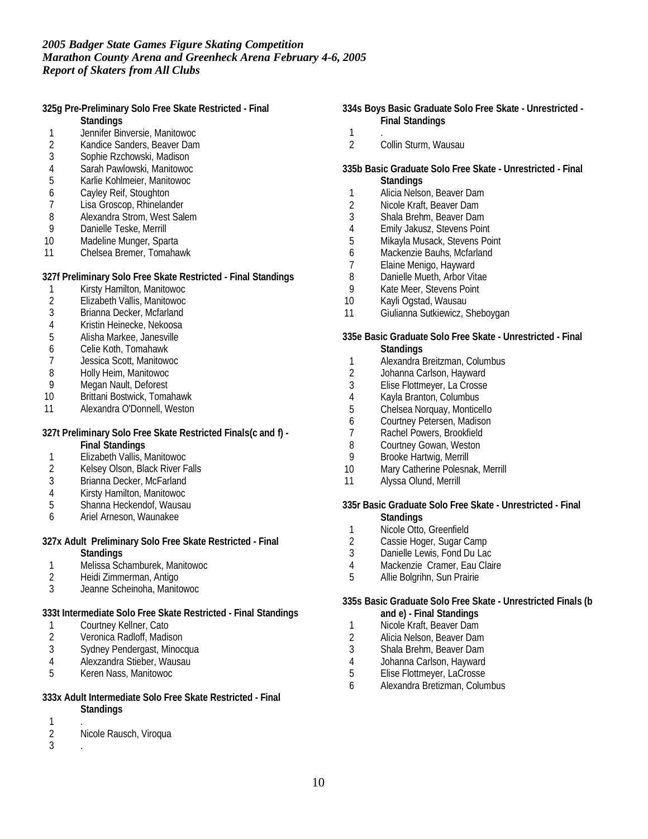**325g Pre-Preliminary Solo Free Skate Restricted - Final Standings**

- 
- 1 Jennifer Binversie, Manitowoc<br>2 Kandice Sanders, Beaver Dam
- 2 Kandice Sanders, Beaver Dam<br>3 Sophie Rzchowski, Madison
- 3 Sophie Rzchowski, Madison<br>4 Sarah Pawlowski, Manitowoo
- 4 Sarah Pawlowski, Manitowoc 5 Karlie Kohlmeier, Manitowoc
- 
- 6 Cayley Reif, Stoughton<br>7 Lisa Groscop, Rhineland
- 7 Lisa Groscop, Rhinelander<br>8 Alexandra Strom, West Sal 8 Alexandra Strom, West Salem<br>9 Danielle Teske, Merrill
- Danielle Teske, Merrill
- 10 Madeline Munger, Sparta
- 11 Chelsea Bremer, Tomahawk

**327f Preliminary Solo Free Skate Restricted - Final Standings**

- 1 Kirsty Hamilton, Manitowoc<br>2 Elizabeth Vallis, Manitowoc
- 2 Elizabeth Vallis, Manitowoc<br>3 Brianna Decker, Mcfarland
- 3 Brianna Decker, Mcfarland
- 4 Kristin Heinecke, Nekoosa
- 5 Alisha Markee, Janesville
- 6 Celie Koth, Tomahawk
- 7 Jessica Scott, Manitowoc
- 8 Holly Heim, Manitowoc<br>9 Megan Nault, Deforest
- Megan Nault, Deforest
- 10 Brittani Bostwick, Tomahawk
- 11 Alexandra O'Donnell, Weston

**327t Preliminary Solo Free Skate Restricted Finals(c and f) -**

**Final Standings**

- 1 Elizabeth Vallis, Manitowoc<br>2 Kelsey Olson, Black River Fa
- 2 Kelsey Olson, Black River Falls<br>3 Brianna Decker, McFarland
- Brianna Decker, McFarland
- 4 Kirsty Hamilton, Manitowoc
- 5 Shanna Heckendof, Wausau
- 6 Ariel Arneson, Waunakee
- **327x Adult Preliminary Solo Free Skate Restricted Final Standings**
- 1 Melissa Schamburek, Manitowoc<br>2 Heidi Zimmerman, Antigo
- 2 Heidi Zimmerman, Antigo<br>3 Jeanne Scheinoha, Manito
- 3 Jeanne Scheinoha, Manitowoc

**333t Intermediate Solo Free Skate Restricted - Final Standings**

- 1 Courtney Kellner, Cato<br>2 Veronica Radloff, Madis
- Veronica Radloff, Madison
- 3 Sydney Pendergast, Minocqua
- 4 Alexzandra Stieber, Wausau<br>5 Keren Nass, Manitowoc
- 5 Keren Nass, Manitowoc
- **333x Adult Intermediate Solo Free Skate Restricted Final Standings**
- 
- $\frac{1}{2}$ Nicole Rausch, Viroqua
- 3 .
- **334s Boys Basic Graduate Solo Free Skate Unrestricted - Final Standings**
	-
- $\frac{1}{2}$ Collin Sturm, Wausau
- **335b Basic Graduate Solo Free Skate Unrestricted Final Standings**
- 1 Alicia Nelson, Beaver Dam
- 2 Nicole Kraft, Beaver Dam<br>3 Shala Brehm, Beaver Dam
- 3 Shala Brehm, Beaver Dam
- 4 Emily Jakusz, Stevens Point<br>5 Mikayla Musack, Stevens Po
- Mikayla Musack, Stevens Point
- 6 Mackenzie Bauhs, Mcfarland
- 7 Elaine Menigo, Hayward
- 8 Danielle Mueth, Arbor Vitae
- 9 Kate Meer, Stevens Point
- 10 Kayli Ogstad, Wausau
- 11 Giulianna Sutkiewicz, Sheboygan
- **335e Basic Graduate Solo Free Skate Unrestricted Final Standings**
- 1 Alexandra Breitzman, Columbus<br>2 Johanna Carlson, Hayward
- Johanna Carlson, Hayward
- 3 Elise Flottmeyer, La Crosse
- 4 Kayla Branton, Columbus<br>5 Chelsea Norquay, Montice
- 5 Chelsea Norquay, Monticello
- 6 Courtney Petersen, Madison
- 7 Rachel Powers, Brookfield
- 8 Courtney Gowan, Weston<br>9 Brooke Hartwig, Merrill
- Brooke Hartwig, Merrill
- 10 Mary Catherine Polesnak, Merrill
- 11 Alyssa Olund, Merrill

**335r Basic Graduate Solo Free Skate - Unrestricted - Final**

- **Standings**
- 1 Nicole Otto, Greenfield<br>2 Cassie Hoger, Sugar C
- 2 Cassie Hoger, Sugar Camp<br>3 Danielle Lewis, Fond Du Lac
- Danielle Lewis, Fond Du Lac
- 4 Mackenzie Cramer, Eau Claire<br>5 Allie Bolgrihn, Sun Prairie
- Allie Bolgrihn, Sun Prairie

**335s Basic Graduate Solo Free Skate - Unrestricted Finals (b and e) - Final Standings**

- 1 Nicole Kraft, Beaver Dam<br>2 Alicia Nelson, Beaver Dam
- 2 Alicia Nelson, Beaver Dam
- 3 Shala Brehm, Beaver Dam
- 4 Johanna Carlson, Hayward<br>5 Elise Flottmever. LaCrosse
- 5 Elise Flottmeyer, LaCrosse
- 6 Alexandra Bretizman, Columbus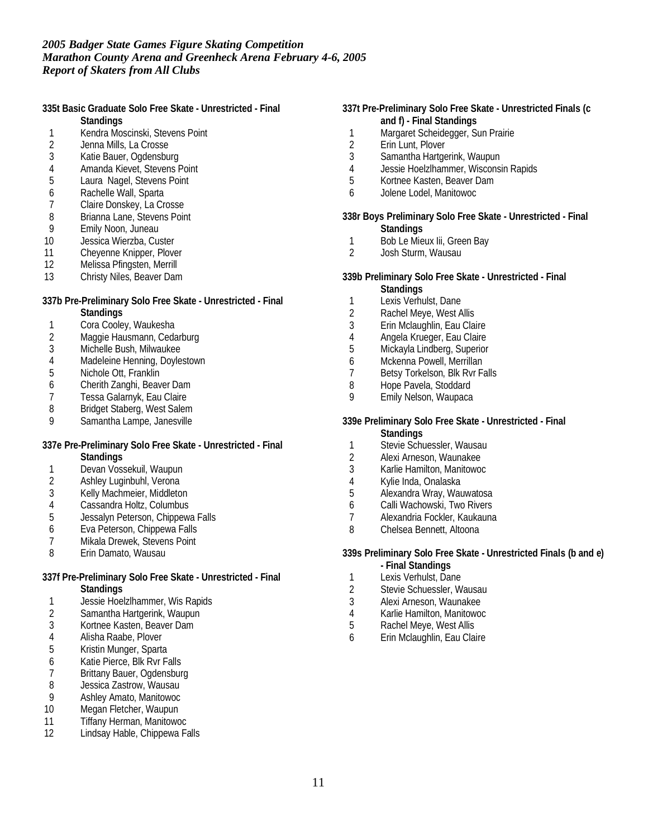**335t Basic Graduate Solo Free Skate - Unrestricted - Final Standings**

- 1 Kendra Moscinski, Stevens Point<br>2 Jenna Mills, La Crosse
- 
- 2 Jenna Mills, La Crosse<br>3 Katie Bauer, Ogdensbu
- 3 Katie Bauer, Ogdensburg<br>4 Amanda Kievet, Stevens F
- 4 Amanda Kievet, Stevens Point<br>5 Laura Nagel, Stevens Point Laura Nagel, Stevens Point
- 6 Rachelle Wall, Sparta<br>7 Claire Donskev. La Cre
- 7 Claire Donskey, La Crosse<br>8 Brianna Lane, Stevens Poin
- 8 Brianna Lane, Stevens Point<br>9 Emily Noon, Juneau
- 9 Emily Noon, Juneau
- 10 Jessica Wierzba, Custer
- 11 Cheyenne Knipper, Plover<br>12 Melissa Pfingsten, Merrill
- Melissa Pfingsten, Merrill
- 13 Christy Niles, Beaver Dam
- **337b Pre-Preliminary Solo Free Skate Unrestricted Final Standings**
- 1 Cora Cooley, Waukesha
- 2 Maggie Hausmann, Cedarburg<br>3 Michelle Bush, Milwaukee
- 3 Michelle Bush, Milwaukee
- 4 Madeleine Henning, Doylestown<br>5 Nichole Ott, Franklin
- 5 Nichole Ott, Franklin<br>6 Cherith Zanghi, Beav
- 6 Cherith Zanghi, Beaver Dam
- 7 Tessa Galarnyk, Eau Claire<br>8 Bridget Staberg, West Salem
- 8 Bridget Staberg, West Salem<br>9 Samantha Lampe Janesville
- Samantha Lampe, Janesville
- **337e Pre-Preliminary Solo Free Skate Unrestricted Final Standings**
- 1 Devan Vossekuil, Waupun<br>2 Ashlev Luginbuhl, Verona
- Ashley Luginbuhl, Verona
- 3 Kelly Machmeier, Middleton
- 4 Cassandra Holtz, Columbus<br>5 Jessalyn Peterson, Chippewa
- 5 Jessalyn Peterson, Chippewa Falls
- 6 Eva Peterson, Chippewa Falls
- 7 Mikala Drewek, Stevens Point<br>8 Erin Damato, Wausau
- Erin Damato, Wausau
- **337f Pre-Preliminary Solo Free Skate Unrestricted Final Standings**
- 1 Jessie Hoelzlhammer, Wis Rapids
- 2 Samantha Hartgerink, Waupun<br>3 Kortnee Kasten, Beaver Dam
- 3 Kortnee Kasten, Beaver Dam
- 4 Alisha Raabe, Plover
- 5 Kristin Munger, Sparta
- 6 Katie Pierce, Blk Rvr Falls
- 7 Brittany Bauer, Ogdensburg<br>8 Jessica Zastrow, Wausau
- 8 Jessica Zastrow, Wausau<br>9 Ashlev Amato, Manitowoc
- 9 Ashley Amato, Manitowoc
- 10 Megan Fletcher, Waupun
- 11 Tiffany Herman, Manitowoc<br>12 Lindsav Hable. Chippewa Fa
- Lindsay Hable, Chippewa Falls
- **337t Pre-Preliminary Solo Free Skate Unrestricted Finals (c and f) - Final Standings**
	- 1 Margaret Scheidegger, Sun Prairie
	- 2 Erin Lunt, Plover<br>3 Samantha Hartge
	- 3 Samantha Hartgerink, Waupun
	- 4 Jessie Hoelzlhammer, Wisconsin Rapids<br>5 Kortnee Kasten, Beaver Dam
	- 5 Kortnee Kasten, Beaver Dam
	- 6 Jolene Lodel, Manitowoc
- **338r Boys Preliminary Solo Free Skate Unrestricted Final Standings**
- 1 Bob Le Mieux Iii, Green Bay<br>2 Josh Sturm, Wausau
- 2 Josh Sturm, Wausau
- **339b Preliminary Solo Free Skate Unrestricted Final**
- **Standings**
- 1 Lexis Verhulst, Dane
- 2 Rachel Meye, West Allis
- 3 Erin Mclaughlin, Eau Claire
- 4 Angela Krueger, Eau Claire<br>5 Mickayla Lindberg, Superior
- Mickayla Lindberg, Superior
- 6 Mckenna Powell, Merrillan<br>7 Betsy Torkelson, Blk Ryr Fa
- Betsy Torkelson, Blk Rvr Falls
- 8 Hope Pavela, Stoddard
- 9 Emily Nelson, Waupaca
- **339e Preliminary Solo Free Skate Unrestricted Final Standings**
- 1 Stevie Schuessler, Wausau
- 
- 2 Alexi Arneson, Waunakee<br>3 Karlie Hamilton, Manitowoo 3 Karlie Hamilton, Manitowoc
- 4 Kylie Inda, Onalaska
- 5 Alexandra Wray, Wauwatosa
- 6 Calli Wachowski, Two Rivers
- 7 Alexandria Fockler, Kaukauna
- 8 Chelsea Bennett, Altoona

**339s Preliminary Solo Free Skate - Unrestricted Finals (b and e) - Final Standings**

- 
- 1 Lexis Verhulst, Dane<br>2 Stevie Schuessler. W Stevie Schuessler, Wausau
- 3 Alexi Arneson, Waunakee
- 4 Karlie Hamilton, Manitowoc
- Rachel Meye, West Allis
- 6 Erin Mclaughlin, Eau Claire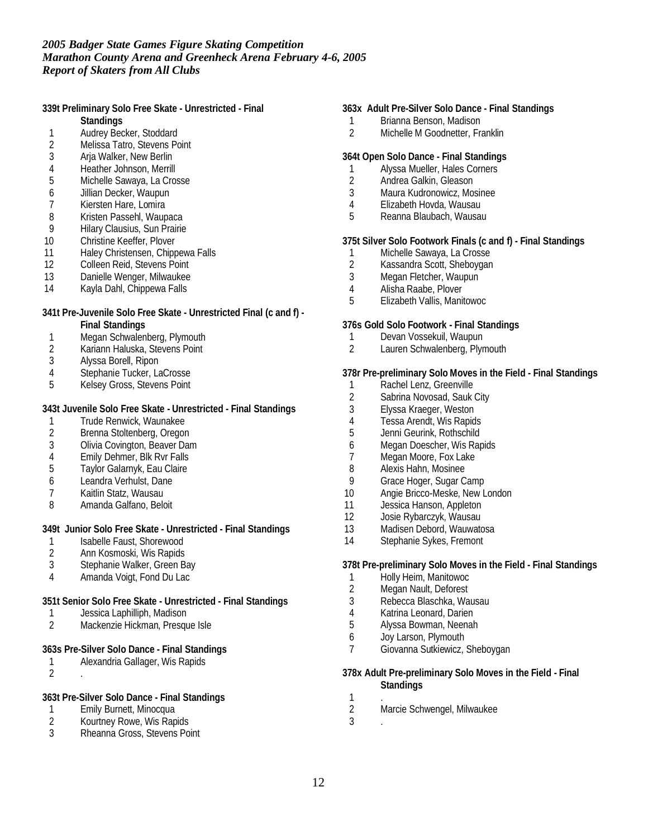**339t Preliminary Solo Free Skate - Unrestricted - Final**

- **Standings**
- 1 Audrey Becker, Stoddard<br>2 Melissa Tatro, Stevens Po
- 2 Melissa Tatro, Stevens Point<br>3 Aria Walker, New Berlin
- 3 Arja Walker, New Berlin
- 4 Heather Johnson, Merrill<br>5 Michelle Sawaya, La Cro
- 5 Michelle Sawaya, La Crosse
- 6 Jillian Decker, Waupun
- 7 Kiersten Hare, Lomira<br>8 Kristen Passehl, Waup
- 8 Kristen Passehl, Waupaca<br>9 Hilary Clausius, Sun Prairie
- **Hilary Clausius, Sun Prairie**
- 10 Christine Keeffer, Plover
- 11 Haley Christensen, Chippewa Falls<br>12 Colleen Reid, Stevens Point
- Colleen Reid, Stevens Point
- 13 Danielle Wenger, Milwaukee
- 14 Kayla Dahl, Chippewa Falls
- **341t Pre-Juvenile Solo Free Skate Unrestricted Final (c and f) - Final Standings**
- 
- 1 Megan Schwalenberg, Plymouth<br>2 Kariann Haluska, Stevens Point 2 Kariann Haluska, Stevens Point<br>3 Alyssa Borell, Ripon
- Alyssa Borell, Ripon
- 
- 4 Stephanie Tucker, LaCrosse<br>5 Kelsev Gross, Stevens Point 5 Kelsey Gross, Stevens Point

**343t Juvenile Solo Free Skate - Unrestricted - Final Standings**

- 1 Trude Renwick, Waunakee<br>2 Brenna Stoltenberg, Oregon
- 2 Brenna Stoltenberg, Oregon
- 3 Olivia Covington, Beaver Dam
- 4 Emily Dehmer, Blk Rvr Falls<br>5 Taylor Galarnyk, Eau Claire
- 5 Taylor Galarnyk, Eau Claire
- 6 Leandra Verhulst, Dane
- 7 Kaitlin Statz, Wausau
- 8 Amanda Galfano, Beloit

**349t Junior Solo Free Skate - Unrestricted - Final Standings**

- 1 Isabelle Faust, Shorewood<br>2 Ann Kosmoski, Wis Rapids
- 2 Ann Kosmoski, Wis Rapids<br>3 Stephanie Walker, Green B
- Stephanie Walker, Green Bay
- 4 Amanda Voigt, Fond Du Lac

## **351t Senior Solo Free Skate - Unrestricted - Final Standings**

- 1 Jessica Laphilliph, Madison
- 2 Mackenzie Hickman, Presque Isle

## **363s Pre-Silver Solo Dance - Final Standings**

- 1 Alexandria Gallager, Wis Rapids
- 2 .

**363t Pre-Silver Solo Dance - Final Standings**

- 1 Emily Burnett, Minocqua<br>2 Kourtney Rowe, Wis Rap
- 2 Kourtney Rowe, Wis Rapids<br>3 Rheanna Gross, Stevens Poi
- Rheanna Gross, Stevens Point

## **363x Adult Pre-Silver Solo Dance - Final Standings**

- 1 Brianna Benson, Madison
- 2 Michelle M Goodnetter, Franklin

## **364t Open Solo Dance - Final Standings**

- 1 Alyssa Mueller, Hales Corners<br>2 Andrea Galkin, Gleason
- 2 Andrea Galkin, Gleason<br>3 Maura Kudronowicz, Mo
- Maura Kudronowicz, Mosinee
- 4 Elizabeth Hovda, Wausau<br>5 Reanna Blaubach, Wausau
- 5 Reanna Blaubach, Wausau

## **375t Silver Solo Footwork Finals (c and f) - Final Standings**

- 1 Michelle Sawaya, La Crosse<br>2 Kassandra Scott, Shebovgan
- 2 Kassandra Scott, Sheboygan
- 3 Megan Fletcher, Waupun
- 4 Alisha Raabe, Plover
- 5 Elizabeth Vallis, Manitowoc

#### **376s Gold Solo Footwork - Final Standings**

- 1 Devan Vossekuil, Waupun<br>2 Lauren Schwalenberg, Plvn
- Lauren Schwalenberg, Plymouth

## **378r Pre-preliminary Solo Moves in the Field - Final Standings**

- 1 Rachel Lenz, Greenville<br>2 Sabrina Novosad, Sauk
- Sabrina Novosad, Sauk City
- 3 Elyssa Kraeger, Weston
- 4 Tessa Arendt, Wis Rapids
- 5 Jenni Geurink, Rothschild
- 6 Megan Doescher, Wis Rapids
- 7 Megan Moore, Fox Lake<br>8 Alexis Hahn, Mosinee
- Alexis Hahn, Mosinee
- 9 Grace Hoger, Sugar Camp
- 10 Angie Bricco-Meske, New London
- 11 Jessica Hanson, Appleton
- 12 Josie Rybarczyk, Wausau
- 13 Madisen Debord, Wauwatosa
- 14 Stephanie Sykes, Fremont

**378t Pre-preliminary Solo Moves in the Field - Final Standings**

- 1 Holly Heim, Manitowoc<br>2 Megan Nault, Deforest
- 2 Megan Nault, Deforest<br>3 Rebecca Blaschka, Wa
- 3 Rebecca Blaschka, Wausau
- 4 Katrina Leonard, Darien<br>5 Alyssa Bowman, Neenah
- 5 Alyssa Bowman, Neenah
- 6 Joy Larson, Plymouth
- 7 Giovanna Sutkiewicz, Sheboygan

**378x Adult Pre-preliminary Solo Moves in the Field - Final Standings** 1 .

- 2 Marcie Schwengel, Milwaukee
- 3 .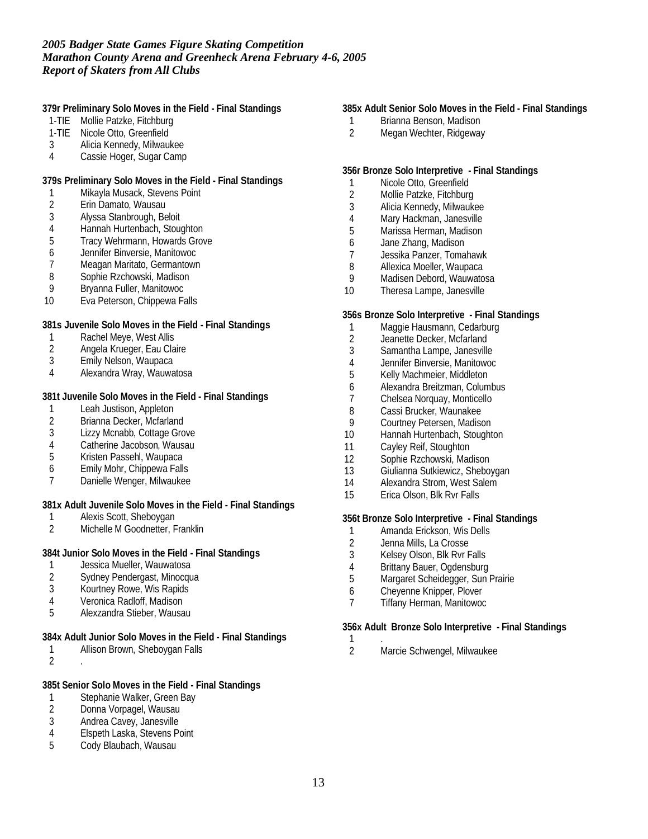**379r Preliminary Solo Moves in the Field - Final Standings**

- 1-TIE Mollie Patzke, Fitchburg
- 1-TIE Nicole Otto, Greenfield
- 3 Alicia Kennedy, Milwaukee
- 4 Cassie Hoger, Sugar Camp

**379s Preliminary Solo Moves in the Field - Final Standings**

- 1 Mikayla Musack, Stevens Point<br>2 Erin Damato, Wausau
- 2 Erin Damato, Wausau<br>3 Alyssa Stanbrough, Be
- 3 Alyssa Stanbrough, Beloit
- 4 Hannah Hurtenbach, Stoughton<br>5 Tracy Wehrmann, Howards Grov
- 5 Tracy Wehrmann, Howards Grove
- 6 Jennifer Binversie, Manitowoc
- 7 Meagan Maritato, Germantown<br>8 Sophie Rzchowski, Madison
- Sophie Rzchowski, Madison
- 9 Bryanna Fuller, Manitowoc
- 10 Eva Peterson, Chippewa Falls

**381s Juvenile Solo Moves in the Field - Final Standings**

- 
- 1 Rachel Meye, West Allis<br>2 Angela Krueger, Eau Cla 2 Angela Krueger, Eau Claire<br>3 Emily Nelson, Waupaca
- Emily Nelson, Waupaca
- 4 Alexandra Wray, Wauwatosa

**381t Juvenile Solo Moves in the Field - Final Standings**

- 1 Leah Justison, Appleton<br>2 Brianna Decker, Mcfarlar
- 2 Brianna Decker, Mcfarland<br>3 Lizzy Mcnabb, Cottage Gro
- Lizzy Mcnabb, Cottage Grove
- 4 Catherine Jacobson, Wausau<br>5 Kristen Passehl, Waupaca
- 5 Kristen Passehl, Waupaca
- 6 Emily Mohr, Chippewa Falls
- 7 Danielle Wenger, Milwaukee

**381x Adult Juvenile Solo Moves in the Field - Final Standings**

- 1 Alexis Scott, Sheboygan<br>2 Michelle M Goodnetter. F
- Michelle M Goodnetter, Franklin

**384t Junior Solo Moves in the Field - Final Standings**

- 1 Jessica Mueller, Wauwatosa<br>2 Sydney Pendergast, Minocqu
- 2 Sydney Pendergast, Minocqua<br>3 Kourtney Rowe, Wis Rapids
- Kourtney Rowe, Wis Rapids
- 4 Veronica Radloff, Madison<br>5 Alexzandra Stieber, Wausa
- 5 Alexzandra Stieber, Wausau

**384x Adult Junior Solo Moves in the Field - Final Standings**

- 1 Allison Brown, Sheboygan Falls
- 2 .

## **385t Senior Solo Moves in the Field - Final Standings**

- 1 Stephanie Walker, Green Bay<br>2 Donna Vorpagel, Wausau
- Donna Vorpagel, Wausau
- 3 Andrea Cavey, Janesville<br>4 Elspeth Laska, Stevens Po
- 4 Elspeth Laska, Stevens Point<br>5 Cody Blaubach, Wausau
- Cody Blaubach, Wausau

## **385x Adult Senior Solo Moves in the Field - Final Standings**

- 1 Brianna Benson, Madison
- 2 Megan Wechter, Ridgeway

## **356r Bronze Solo Interpretive - Final Standings**

- 1 Nicole Otto, Greenfield<br>2 Mollie Patzke, Fitchburg
- 2 Mollie Patzke, Fitchburg<br>3 Alicia Kennedy, Milwauke
- Alicia Kennedy, Milwaukee
- 4 Mary Hackman, Janesville
- 5 Marissa Herman, Madison
- 6 Jane Zhang, Madison
- 7 Jessika Panzer, Tomahawk
- 8 Allexica Moeller, Waupaca
- 9 Madisen Debord, Wauwatosa
- 10 Theresa Lampe, Janesville

#### **356s Bronze Solo Interpretive - Final Standings**

- 1 Maggie Hausmann, Cedarburg<br>2 Jeanette Decker, Mcfarland
- 2 Jeanette Decker, Mcfarland<br>3 Samantha Lampe, Janesville
- 3 Samantha Lampe, Janesville
- 4 Jennifer Binversie, Manitowoc<br>5 Kelly Machmeier, Middleton
- 5 Kelly Machmeier, Middleton
- 6 Alexandra Breitzman, Columbus
- 7 Chelsea Norquay, Monticello
- 8 Cassi Brucker, Waunakee
- 9 Courtney Petersen, Madison
- 10 Hannah Hurtenbach, Stoughton
- 11 Cayley Reif, Stoughton
- 12 Sophie Rzchowski, Madison
- 13 Giulianna Sutkiewicz, Sheboygan
- 14 Alexandra Strom, West Salem
- 15 Erica Olson, Blk Rvr Falls

## **356t Bronze Solo Interpretive - Final Standings**

- 1 Amanda Erickson, Wis Dells<br>2 Jenna Mills, La Crosse
- 2 Jenna Mills, La Crosse<br>3 Kelsev Olson. Blk Rvr F
- 3 Kelsey Olson, Blk Rvr Falls<br>4 Brittany Bauer, Ogdensburg
- 4 Brittany Bauer, Ogdensburg<br>5 Margaret Scheidegger, Sun F
- Margaret Scheidegger, Sun Prairie
- 6 Cheyenne Knipper, Plover
- 7 Tiffany Herman, Manitowoc

**356x Adult Bronze Solo Interpretive - Final Standings**

 $\frac{1}{2}$ 2 Marcie Schwengel, Milwaukee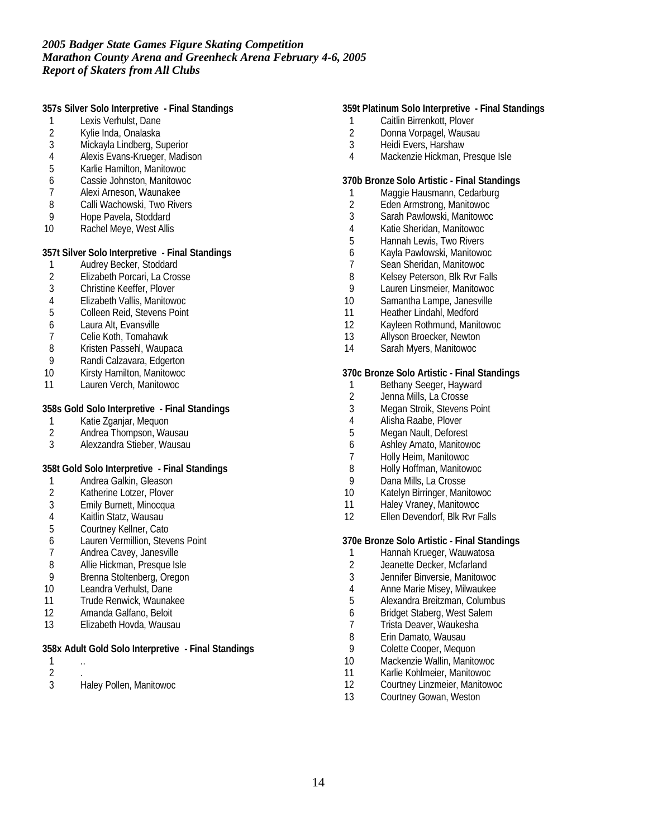**357s Silver Solo Interpretive - Final Standings**

- 1 Lexis Verhulst, Dane
- 2 Kylie Inda, Onalaska<br>3 Mickayla Lindberg, Su
- Mickayla Lindberg, Superior
- 4 Alexis Evans-Krueger, Madison<br>5 Karlie Hamilton, Manitowoc
- 5 Karlie Hamilton, Manitowoc
- 6 Cassie Johnston, Manitowoc
- 7 Alexi Arneson, Waunakee<br>8 Calli Wachowski. Two Rive
- 8 Calli Wachowski, Two Rivers<br>9 Hope Pavela, Stoddard
- 9 Hope Pavela, Stoddard<br>10 Rachel Meve. West Allis
- Rachel Meye, West Allis

**357t Silver Solo Interpretive - Final Standings**

- 1 Audrey Becker, Stoddard<br>2 Elizabeth Porcari, La Cros
- 2 Elizabeth Porcari, La Crosse
- 3 Christine Keeffer, Plover
- 4 Elizabeth Vallis, Manitowoc
- 5 Colleen Reid, Stevens Point
- 6 Laura Alt, Evansville
- 7 Celie Koth, Tomahawk
- 8 Kristen Passehl, Waupaca
- 9 Randi Calzavara, Edgerton
- 10 Kirsty Hamilton, Manitowoc
- 11 Lauren Verch, Manitowoc

#### **358s Gold Solo Interpretive - Final Standings**

- 1 Katie Zganjar, Mequon<br>2 Andrea Thompson, Wau
- 2 Andrea Thompson, Wausau<br>3 Alexzandra Stieber, Wausau
- 3 Alexzandra Stieber, Wausau

#### **358t Gold Solo Interpretive - Final Standings**

- 1 Andrea Galkin, Gleason<br>2 Katherine Lotzer, Plover
- 2 Katherine Lotzer, Plover<br>3 Emily Burnett, Minocqua
- Emily Burnett, Minocqua
- 4 Kaitlin Statz, Wausau<br>5 Courtney Kellner, Cato
- 5 Courtney Kellner, Cato
- 6 Lauren Vermillion, Stevens Point
- 7 Andrea Cavey, Janesville<br>8 Allie Hickman, Presque Isl
- 8 Allie Hickman, Presque Isle
- 9 Brenna Stoltenberg, Oregon<br>10 Leandra Verhulst, Dane
- Leandra Verhulst, Dane
- 11 Trude Renwick, Waunakee
- 12 Amanda Galfano, Beloit
- 13 Elizabeth Hovda, Wausau

#### **358x Adult Gold Solo Interpretive - Final Standings**

- 1 .. 2 .
	-
- 3 Haley Pollen, Manitowoc

#### **359t Platinum Solo Interpretive - Final Standings**

- 1 Caitlin Birrenkott, Plover
- 2 Donna Vorpagel, Wausau
- 3 Heidi Evers, Harshaw
- 4 Mackenzie Hickman, Presque Isle

## **370b Bronze Solo Artistic - Final Standings**

- 1 Maggie Hausmann, Cedarburg<br>2 Eden Armstrong, Manitowoc
- 2 Eden Armstrong, Manitowoc<br>3 Sarah Pawlowski, Manitowoc
- 3 Sarah Pawlowski, Manitowoc
- 4 Katie Sheridan, Manitowoc
- 5 Hannah Lewis, Two Rivers
- 6 Kayla Pawlowski, Manitowoc
- Sean Sheridan, Manitowoc
- 8 Kelsey Peterson, Blk Ryr Falls
- 9 Lauren Linsmeier, Manitowoc
- 10 Samantha Lampe, Janesville
- 11 Heather Lindahl, Medford
- 12 Kayleen Rothmund, Manitowoc
- 13 Allyson Broecker, Newton
- 14 Sarah Myers, Manitowoc

#### **370c Bronze Solo Artistic - Final Standings**

- 1 Bethany Seeger, Hayward<br>2 Jenna Mills, La Crosse
- 2 Jenna Mills, La Crosse<br>3 Megan Stroik, Stevens
- 3 Megan Stroik, Stevens Point<br>4 Alisha Raabe. Plover
- 4 Alisha Raabe, Plover<br>5 Megan Nault, Defores
- Megan Nault, Deforest
- 6 Ashley Amato, Manitowoc
- 7 Holly Heim, Manitowoc
- 8 Holly Hoffman, Manitowoc
- 9 Dana Mills, La Crosse
- 10 Katelyn Birringer, Manitowoc
- 11 Haley Vraney, Manitowoc
- 12 Ellen Devendorf, Blk Rvr Falls

**370e Bronze Solo Artistic - Final Standings**

- 1 Hannah Krueger, Wauwatosa<br>2 Jeanette Decker, Mcfarland
- Jeanette Decker, Mcfarland
- 3 Jennifer Binversie, Manitowoc<br>4 Anne Marie Misev, Milwaukee
- 4 Anne Marie Misey, Milwaukee<br>5 Alexandra Breitzman, Columbu
- 5 Alexandra Breitzman, Columbus
- 6 Bridget Staberg, West Salem
- 7 Trista Deaver, Waukesha<br>8 Erin Damato, Wausau
- Erin Damato, Wausau
- 9 Colette Cooper, Mequon
- 10 Mackenzie Wallin, Manitowoc
- 11 Karlie Kohlmeier, Manitowoc
- 12 Courtney Linzmeier, Manitowoc
- 13 Courtney Gowan, Weston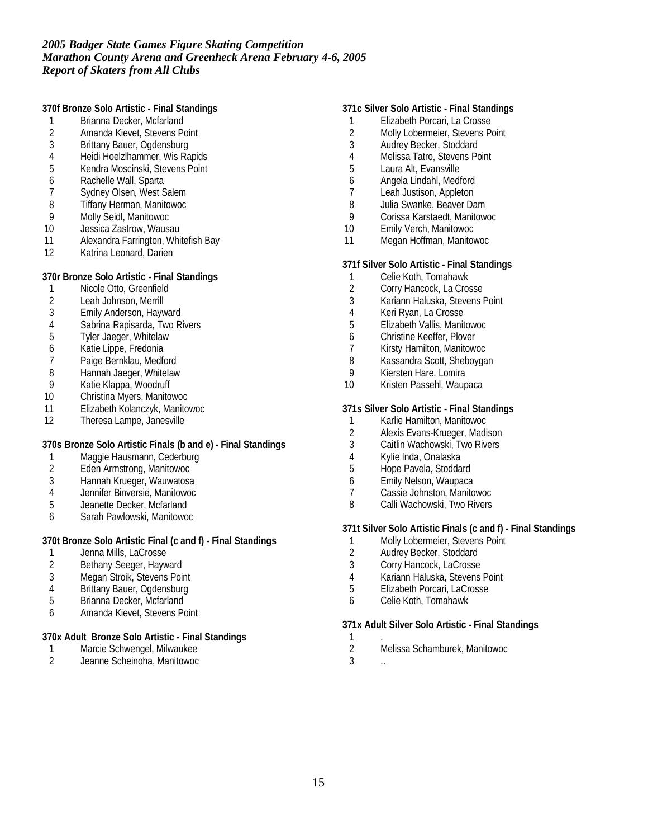**370f Bronze Solo Artistic - Final Standings**

- 1 Brianna Decker, Mcfarland
- 2 Amanda Kievet, Stevens Point<br>3 Brittany Bauer, Ogdensburg
- 3 Brittany Bauer, Ogdensburg
- 4 Heidi Hoelzlhammer, Wis Rapids<br>5 Kendra Moscinski, Stevens Point
- 5 Kendra Moscinski, Stevens Point<br>6 Rachelle Wall, Sparta
- 6 Rachelle Wall, Sparta<br>7 Sydney Olsen, West S
- 7 Sydney Olsen, West Salem<br>8 Tiffany Herman, Manitowoc
- 8 Tiffany Herman, Manitowoc<br>9 Molly Seidl, Manitowoc
- 9 Molly Seidl, Manitowoc<br>10 Jessica Zastrow, Wausa
- Jessica Zastrow, Wausau
- 11 Alexandra Farrington, Whitefish Bay
- 12 Katrina Leonard, Darien

**370r Bronze Solo Artistic - Final Standings**

- 1 Nicole Otto, Greenfield<br>2 Leah Johnson, Merrill
- 2 Leah Johnson, Merrill<br>3 Emily Anderson, Hayw
- 3 Emily Anderson, Hayward
- 4 Sabrina Rapisarda, Two Rivers
- 5 Tyler Jaeger, Whitelaw
- 6 Katie Lippe, Fredonia
- 7 Paige Bernklau, Medford<br>8 Hannah Jaeger, Whitelaw
- 8 Hannah Jaeger, Whitelaw<br>9 Katie Klappa, Woodruff
- 9 Katie Klappa, Woodruff<br>10 Christina Myers, Manito
- 10 Christina Myers, Manitowoc
- 11 Elizabeth Kolanczyk, Manitowoc<br>12 Theresa Lampe, Janesville
- Theresa Lampe, Janesville

## **370s Bronze Solo Artistic Finals (b and e) - Final Standings**

- 1 Maggie Hausmann, Cederburg
- 2 Eden Armstrong, Manitowoc
- Hannah Krueger, Wauwatosa
- 4 Jennifer Binversie, Manitowoc
- 5 Jeanette Decker, Mcfarland
- 6 Sarah Pawlowski, Manitowoc

### **370t Bronze Solo Artistic Final (c and f) - Final Standings**

- 1 Jenna Mills, LaCrosse<br>2 Bethany Seeger, Hayw
- Bethany Seeger, Hayward
- 3 Megan Stroik, Stevens Point<br>4 Brittany Bauer, Ogdensburg
- 4 Brittany Bauer, Ogdensburg<br>5 Brianna Decker, Mcfarland
- Brianna Decker, Mcfarland
- 6 Amanda Kievet, Stevens Point

#### **370x Adult Bronze Solo Artistic - Final Standings**

- 1 Marcie Schwengel, Milwaukee<br>2 Jeanne Scheinoha, Manitowoc
- 2 Jeanne Scheinoha, Manitowoc

## **371c Silver Solo Artistic - Final Standings**

- 1 Elizabeth Porcari, La Crosse
- 2 Molly Lobermeier, Stevens Point<br>3 Audrey Becker, Stoddard
- Audrey Becker, Stoddard
- 4 Melissa Tatro, Stevens Point<br>5 Laura Alt, Evansville
- 5 Laura Alt, Evansville<br>6 Angela Lindahl, Med
- 6 Angela Lindahl, Medford
- 7 Leah Justison, Appleton<br>8 Julia Swanke, Beaver Da
- 8 Julia Swanke, Beaver Dam<br>9 Corissa Karstaedt Manitow
- 9 Corissa Karstaedt, Manitowoc<br>10 Emily Verch, Manitowoc
- Emily Verch, Manitowoc
- 11 Megan Hoffman, Manitowoc

#### **371f Silver Solo Artistic - Final Standings**

- 1 Celie Koth, Tomahawk
- 2 Corry Hancock, La Crosse
- 3 Kariann Haluska, Stevens Point
- 4 Keri Ryan, La Crosse
- 5 Elizabeth Vallis, Manitowoc
- 6 Christine Keeffer, Plover
- 7 Kirsty Hamilton, Manitowoc
- 8 Kassandra Scott, Sheboygan
- 9 Kiersten Hare, Lomira<br>10 Kristen Passehl, Waup
- Kristen Passehl, Waupaca

#### **371s Silver Solo Artistic - Final Standings**

- 1 Karlie Hamilton, Manitowoc<br>2 Alexis Evans-Krueger, Madi
- 2 Alexis Evans-Krueger, Madison<br>3 Caitlin Wachowski. Two Rivers
- Caitlin Wachowski, Two Rivers
- 4 Kylie Inda, Onalaska
- 5 Hope Pavela, Stoddard
- 6 Emily Nelson, Waupaca
- 7 Cassie Johnston, Manitowoc
- 8 Calli Wachowski, Two Rivers

## **371t Silver Solo Artistic Finals (c and f) - Final Standings**

- 1 Molly Lobermeier, Stevens Point
- 2 Audrey Becker, Stoddard<br>3 Corry Hancock, LaCrosse
- Corry Hancock, LaCrosse
- 
- 4 Kariann Haluska, Stevens Point<br>5 Elizabeth Porcari, LaCrosse 5 Elizabeth Porcari, LaCrosse
- 6 Celie Koth, Tomahawk

#### **371x Adult Silver Solo Artistic - Final Standings**

- $\frac{1}{2}$ 
	- 2 Melissa Schamburek, Manitowoc
- $3 \ldots$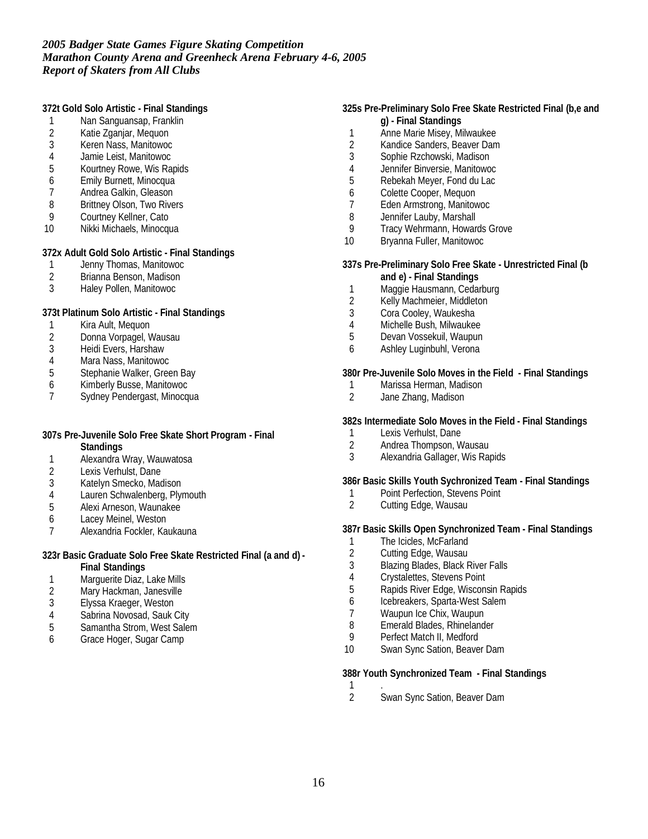**372t Gold Solo Artistic - Final Standings**

- 1 Nan Sanguansap, Franklin
- 2 Katie Zganjar, Mequon<br>3 Keren Nass, Manitowoc
- 3 Keren Nass, Manitowoc
- 4 Jamie Leist, Manitowoc<br>5 Kourtney Rowe, Wis Ra
- 5 Kourtney Rowe, Wis Rapids<br>6 Emily Burnett, Minocqua
- 6 Emily Burnett, Minocqua<br>7 Andrea Galkin, Gleason
- 7 Andrea Galkin, Gleason<br>8 Brittney Olson, Two Rive
- 8 Brittney Olson, Two Rivers<br>9 Courtney Kellner, Cato
- 9 Courtney Kellner, Cato<br>10 Nikki Michaels. Minocau
- Nikki Michaels, Minocqua

**372x Adult Gold Solo Artistic - Final Standings**

- 1 Jenny Thomas, Manitowoc<br>2 Brianna Benson, Madison
- 2 Brianna Benson, Madison
- 3 Haley Pollen, Manitowoc

**373t Platinum Solo Artistic - Final Standings**

- 1 Kira Ault, Mequon
- 2 Donna Vorpagel, Wausau<br>3 Heidi Evers, Harshaw
- 3 Heidi Evers, Harshaw<br>4 Mara Nass, Manitowoo
- 4 Mara Nass, Manitowoc<br>5 Stephanie Walker, Gree
- 5 Stephanie Walker, Green Bay<br>6 Kimberly Busse, Manitowoc
- 6 Kimberly Busse, Manitowoc
- Sydney Pendergast, Minocqua
- **307s Pre-Juvenile Solo Free Skate Short Program Final Standings**
- 1 Alexandra Wray, Wauwatosa
- 
- 2 Lexis Verhulst, Dane<br>3 Katelyn Smecko, Mac Katelyn Smecko, Madison
- 4 Lauren Schwalenberg, Plymouth<br>5 Alexi Arneson, Waunakee
- 5 Alexi Arneson, Waunakee
- 6 Lacey Meinel, Weston<br>7 Alexandria Fockler, Kau
- 7 Alexandria Fockler, Kaukauna
- **323r Basic Graduate Solo Free Skate Restricted Final (a and d) - Final Standings**
- 1 Marguerite Diaz, Lake Mills
- 2 Mary Hackman, Janesville<br>3 Elyssa Kraeger, Weston
- Elyssa Kraeger, Weston
- 4 Sabrina Novosad, Sauk City<br>5 Samantha Strom, West Saler
- 5 Samantha Strom, West Salem
- 6 Grace Hoger, Sugar Camp

### **325s Pre-Preliminary Solo Free Skate Restricted Final (b,e and g) - Final Standings**

- 1 Anne Marie Misey, Milwaukee
- 2 Kandice Sanders, Beaver Dam<br>3 Sophie Rzchowski. Madison
- 3 Sophie Rzchowski, Madison<br>4 Jennifer Binversie, Manitowo
- 4 Jennifer Binversie, Manitowoc<br>5 Rebekah Meyer, Fond du Lac
- 5 Rebekah Meyer, Fond du Lac
- 6 Colette Cooper, Mequon<br>7 Eden Armstrong, Manitov
- 7 Eden Armstrong, Manitowoc<br>8 Dennifer Lauby Marshall
- 8 Jennifer Lauby, Marshall<br>9 Tracy Wehrmann, Howar
- Tracy Wehrmann, Howards Grove
- 10 Bryanna Fuller, Manitowoc

**337s Pre-Preliminary Solo Free Skate - Unrestricted Final (b and e) - Final Standings**

- 1 Maggie Hausmann, Cedarburg
- 2 Kelly Machmeier, Middleton
- 3 Cora Cooley, Waukesha
- 4 Michelle Bush, Milwaukee
- 5 Devan Vossekuil, Waupun
- 6 Ashley Luginbuhl, Verona

**380r Pre-Juvenile Solo Moves in the Field - Final Standings**

- 1 Marissa Herman, Madison<br>2 Jane Zhang, Madison
- Jane Zhang, Madison

**382s Intermediate Solo Moves in the Field - Final Standings**

- 1 Lexis Verhulst, Dane
- 2 Andrea Thompson, Wausau
- 3 Alexandria Gallager, Wis Rapids

**386r Basic Skills Youth Sychronized Team - Final Standings**

- 1 Point Perfection, Stevens Point<br>2 Cutting Edge, Wausau
- Cutting Edge, Wausau

**387r Basic Skills Open Synchronized Team - Final Standings**

- 1 The Icicles, McFarland<br>2 Cutting Edge, Wausau
- 2 Cutting Edge, Wausau<br>3 Blazing Blades, Black R
- 3 Blazing Blades, Black River Falls<br>4 Crystalettes, Stevens Point
- 4 Crystalettes, Stevens Point<br>5 Rapids River Edge. Wiscon:
- 5 Rapids River Edge, Wisconsin Rapids
- 6 Icebreakers, Sparta-West Salem
- 7 Waupun Ice Chix, Waupun<br>8 Emerald Blades, Rhineland
- Emerald Blades, Rhinelander
- 9 Perfect Match II, Medford
- 10 Swan Sync Sation, Beaver Dam

**388r Youth Synchronized Team - Final Standings**

- 
- $\frac{1}{2}$ Swan Sync Sation, Beaver Dam